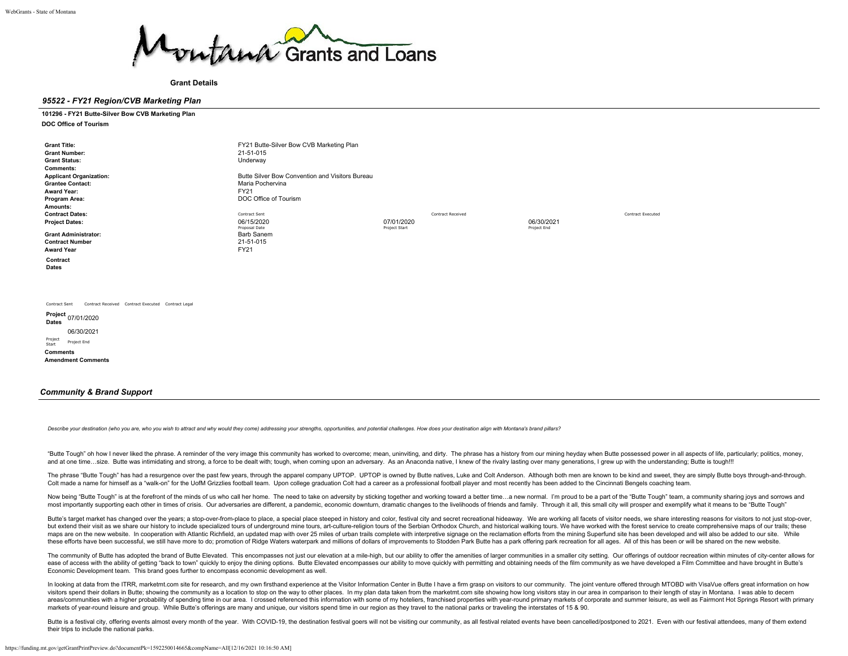

**Grant Details**

# *95522 - FY21 Region/CVB Marketing Plan*

#### **101296 - FY21 Butte-Silver Bow CVB Marketing Plan**

**DOC Office of Tourism**

**Grant Title:** FY21 Butte-Silver Bow CVB Marketing Plan<br> **Grant Number:** 21-51-015 **Grant Number:** 21-51-015<br> **Grant Status:** 21-51-015 **Grant Status:** Underway **Comments: Applicant Organization: [Butte Silver Bow Convention and Visitors Bureau](https://funding.mt.gov/organizationDetail.do?OIDString=1393890392724|Organization&history=include)**<br>**Grantee Contact: Butter** Contact: **Butter Silver Butter Maria Pochervina [Maria Pochervina](https://funding.mt.gov/personDetail.do?OIDString=1393890392740|Person&history=include)**<br>FY21 **Award Year:**<br>Program Area: **Program Area:** DOC Office of Tourism **Amounts: Contract Dates:** Contract Executed Contract Executed Contract Received Contract Received Contract Executed Contract Executed **Project Dates:** 06/15/2020 07/01/2020 06/30/2021 Proposal Date Project End Profect Start Proposal Date Project End Project End Project End Project End Project End **Grant Administrator:**<br> **Grant Administrator:**<br> **Contract Number**<br>
21-51-015 **Contract Number** 21-51<br>Award Year **21-51 Award Year Contract Dates**

Contract Sent Contract Received Contract Executed Contract Legal

**Project Dates** 07/01/2020 06/30/2021

Project Start Project End

**Comments Amendment Comments**

# *Community & Brand Support*

Describe your destination (who you are, who you wish to attract and why would they come) addressing your strengths, opportunities, and potential challenges. How does your destination align with Montana's brand pillars?

"Butte Tough" oh how I never liked the phrase. A reminder of the very image this community has worked to overcome; mean, uninviting, and dirty. The phrase has a history from our mining heyday when Butte possessed power in and at one time...size. Butte was intimidating and strong, a force to be dealt with; tough, when coming upon an adversary. As an Anaconda native, I knew of the rivalry lasting over many generations, I grew up with the unde

The phrase "Butte Tough" has had a resurgence over the past few years, through the apparel company UPTOP. UPTOP is owned by Butte natives, Luke and Colt Anderson. Although both men are known to be kind and sweet, they are Colt made a name for himself as a "walk-on" for the UofM Grizzlies football team. Upon college graduation Colt had a career as a professional football player and most recently has been added to the Cincinnati Bengels coach

Now being "Butte Tough" is at the forefront of the minds of us who call her home. The need to take on adversity by sticking together and working toward a better time...a new normal. I'm proud to be a part of the "Butte Tou most importantly supporting each other in times of crisis. Our adversaries are different, a pandemic, economic downturn, dramatic changes to the livelihoods of friends and family. Through it all, this small city will prosp

Butte's target market has changed over the years: a stop-over-from-place to place, a special place steeped in history and color, festival city and secret recreational hideaway. We are working all facets of visitor needs, w but extend their visit as we share our history to include specialized tours of underground mine tours, art-culture-religion tours of the Serbian Orthodox Church, and historical walking tours. We have worked with the forest maps are on the new website. In cooperation with Atlantic Richfield, an updated map with over 25 miles of urban trails complete with interpretive signage on the reclamation efforts from the mining Superfund site has been d these efforts have been successful, we still have more to do: promotion of Ridge Waters waterpark and millions of dollars of improvements to Stodden Park Butte has a park offering park recreation for all ages. All of this

The community of Butte has adopted the brand of Butte Elevated. This encompasses not just our elevation at a mile-high. but our ability to offer the amenities of larger communities in a smaller city setting. Our offerings ease of access with the ability of getting "back to town" quickly to enjoy the dining options. Butte Elevated encompasses our ability to move quickly with permitting and obtaining needs of the film community as we have dev Economic Development team. This brand goes further to encompass economic development as well.

In looking at data from the ITRR, marketmt.com site for research, and my own firsthand experience at the Visitor Information Center in Butte I have a firm grasp on visitors to our community. The joint venture offered throu visitors spend their dollars in Butte; showing the community as a location to stop on the way to other places. In my plan data taken from the marketmt.com site showing how long visitors stay in our area in comparison to th areas/communities with a higher probability of spending time in our area. I crossed referenced this information with some of my hoteliers, franchised properties with year-round primary markets of corporate and summer leisu markets of year-round leisure and group. While Butte's offerings are many and unique, our visitors spend time in our region as they travel to the national parks or traveling the interstates of 15 & 90.

Butte is a festival city, offering events almost every month of the year. With COVID-19, the destination festival goers will not be visiting our community, as all festival related events have been cancelled/postponed to 20 their trips to include the national parks.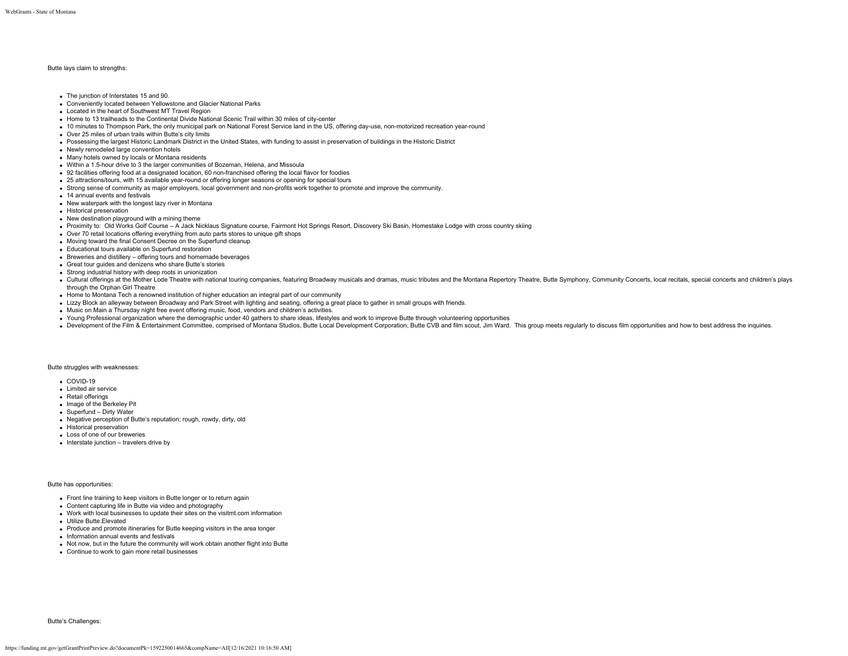# Butte lays claim to strengths:

#### The junction of Interstates 15 and 90.

- Conveniently located between Yellowstone and Glacier National Parks
- Located in the heart of Southwest MT Travel Region
- Home to 13 trailheads to the Continental Divide National Scenic Trail within 30 miles of city-center
- 10 minutes to Thompson Park, the only municipal park on National Forest Service land in the US, offering day-use, non-motorized recreation year-round
- Over 25 miles of urban trails within Butte's city limits
- Possessing the largest Historic Landmark District in the United States, with funding to assist in preservation of buildings in the Historic District
- Newly remodeled large convention hotels
- Many hotels owned by locals or Montana residents
- Within a 1.5-hour drive to 3 the larger communities of Bozeman, Helena, and Missoula
- 92 facilities offering food at a designated location, 60 non-franchised offering the local flavor for foodies
- 25 attractions/tours, with 15 available year-round or offering longer seasons or opening for special tours
- Strong sense of community as major employers, local government and non-profits work together to promote and improve the community.
- <sup>14</sup> annual events and festivals
- New waterpark with the longest lazy river in Montana
- **Historical preservation**
- New destination playground with a mining theme
- Proximity to: Old Works Golf Course A Jack Nicklaus Signature course, Fairmont Hot Springs Resort, Discovery Ski Basin, Homestake Lodge with cross country skiing
- Over 70 retail locations offering everything from auto parts stores to unique gift shops
- Moving toward the final Consent Decree on the Superfund cleanup
- Educational tours available on Superfund restoration
- Breweries and distillery offering tours and homemade beverages
- Great tour guides and denizens who share Butte's stories
- Strong industrial history with deep roots in unionization
- . Cultural offerings at the Mother Lode Theatre with national touring companies, featuring Broadway musicals and dramas, music tributes and the Montana Repertory Theatre, Butte Symphony, Community Concerts, local recitals, through the Orphan Girl Theatre
- Home to Montana Tech a renowned institution of higher education an integral part of our community
- Lizzy Block an alleyway between Broadway and Park Street with lighting and seating, offering a great place to gather in small groups with friends.
- Music on Main a Thursday night free event offering music, food, vendors and children's activities.
- Young Professional organization where the demographic under 40 gathers to share ideas, lifestyles and work to improve Butte through volunteering opportunities
- . Development of the Film & Entertainment Committee, comprised of Montana Studios, Butte Local Development Corporation, Butte CVB and film scout, Jim Ward. This group meets reqularly to discuss film opportunities and how t

# Butte struggles with weaknesses:

- $COVID-19$
- Limited air service
- **Retail offerings**
- Image of the Berkeley Pit
- Superfund Dirty Water
- Negative perception of Butte's reputation; rough, rowdy, dirty, old
- Historical preservation
- Loss of one of our breweries
- $\bullet$  Interstate junction travelers drive by

#### Butte has opportunities:

- Front line training to keep visitors in Butte longer or to return again
- Content capturing life in Butte via video and photography
- Work with local businesses to update their sites on the visitmt.com information
- Utilize Butte.Elevated
- Produce and promote itineraries for Butte keeping visitors in the area longer
- Information annual events and festivals
- Not now, but in the future the community will work obtain another flight into Butte
- Continue to work to gain more retail businesses

Butte's Challenges: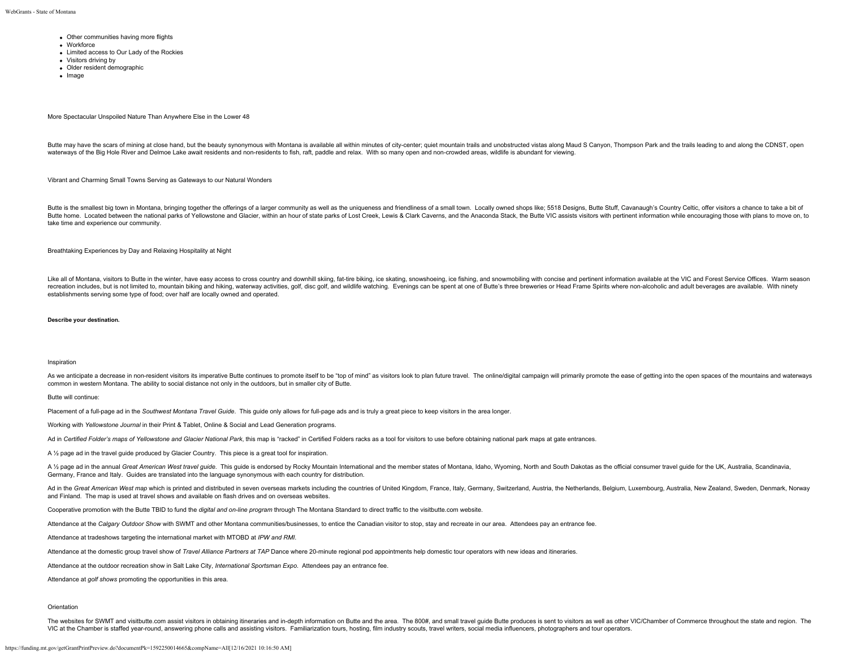- Other communities having more flights
- Workforce
- Limited access to Our Lady of the Rockies
- Visitors driving by
- Older resident demographic
- $\bullet$  Image

More Spectacular Unspoiled Nature Than Anywhere Else in the Lower 48

Butte may have the scars of mining at close hand, but the beauty synonymous with Montana is available all within minutes of city-center; quiet mountain trails and unobstructed vistas along Maud S Canyon. Thompson Park and waterways of the Big Hole River and Delmoe Lake await residents and non-residents to fish, raft, paddle and relax. With so many open and non-crowded areas, wildlife is abundant for viewing.

Vibrant and Charming Small Towns Serving as Gateways to our Natural Wonders

Butte is the smallest big town in Montana, bringing together the offerings of a larger community as well as the uniqueness and friendliness of a small town. Locally owned shops like; 5518 Designs, Butte Stuff, Cavanaugh's Butte home. Located between the national parks of Yellowstone and Glacier, within an hour of state parks of Lost Creek, Lewis & Clark Caverns, and the Anaconda Stack, the Butte VIC assists visitors with pertinent informati take time and experience our community.

Breathtaking Experiences by Day and Relaxing Hospitality at Night

Like all of Montana, visitors to Butte in the winter, have easy access to cross country and downhill skiing, fat-tire biking, ice skating, snowshoeing, ice fishing, and snowmobiling with concise and pertinent information a recreation includes, but is not limited to, mountain biking and hiking, waterway activities, golf, disc golf, and wildlife watching. Evenings can be spent at one of Butte's three breweries or Head Frame Spirits where non-a establishments serving some type of food; over half are locally owned and operated.

### **Describe your destination.**

#### Inspiration

As we anticipate a decrease in non-resident visitors its imperative Butte continues to promote itself to be "top of mind" as visitors look to plan future travel. The online/digital campaign will primarily promote the ease common in western Montana. The ability to social distance not only in the outdoors, but in smaller city of Butte.

# Butte will continue:

Placement of a full-page ad in the *Southwest Montana Travel Guide*. This guide only allows for full-page ads and is truly a great piece to keep visitors in the area longer.

Working with *Yellowstone Journal* in their Print & Tablet, Online & Social and Lead Generation programs.

Ad in Certified Folder's maps of Yellowstone and Glacier National Park, this map is "racked" in Certified Folders racks as a tool for visitors to use before obtaining national park maps at gate entrances.

A ½ page ad in the travel guide produced by Glacier Country. This piece is a great tool for inspiration.

A 1/2 page ad in the annual Great American West travel guide. This guide is endorsed by Rocky Mountain International and the member states of Montana, Idaho, Wyoming, North and South Dakotas as the official consumer travel Germany, France and Italy. Guides are translated into the language synonymous with each country for distribution.

Ad in the Great American West map which is printed and distributed in seven overseas markets including the countries of United Kingdom, France, Italy, Germany, Switzerland, Austria, the Netherlands, Belgium, Luxembourg, Au and Finland. The map is used at travel shows and available on flash drives and on overseas websites.

Cooperative promotion with the Butte TBID to fund the *digital and on-line program* through The Montana Standard to direct traffic to the visitbutte.com website.

Attendance at the Calgary Outdoor Show with SWMT and other Montana communities/businesses, to entice the Canadian visitor to stop, stay and recreate in our area. Attendees pay an entrance fee.

Attendance at tradeshows targeting the international market with MTOBD at *IPW and RMI.*

Attendance at the domestic group travel show of *Travel Alliance Partners at TAP* Dance where 20-minute regional pod appointments help domestic tour operators with new ideas and itineraries.

Attendance at the outdoor recreation show in Salt Lake City, *International Sportsman Expo*. Attendees pay an entrance fee.

Attendance at *golf shows* promoting the opportunities in this area.

#### **Orientation**

The websites for SWMT and visitbutte.com assist visitors in obtaining itineraries and in-depth information on Butte and the area. The 800#, and small travel quide Butte produces is sent to visitors as well as other VIC/Cha VIC at the Chamber is staffed year-round, answering phone calls and assisting visitors. Familiarization tours, hosting, film industry scouts, travel writers, social media influencers, photographers and tour operators.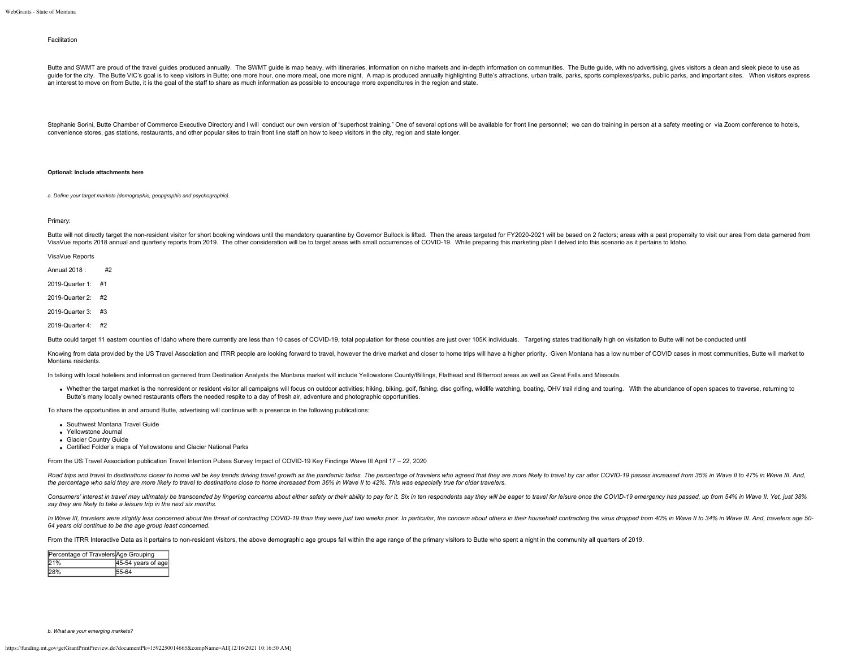#### Facilitation

Butte and SWMT are proud of the travel guides produced annually. The SWMT guide is map heavy, with itineraries, information on niche markets and in-depth information on communities. The Butte guide, with no advertising, gi guide for the city. The Butte VIC's goal is to keep visitors in Butte; one more hour, one more hour, one more meal, one more night. A map is produced annually highlighting Butte's attractions, urban trails, parks, sports c an interest to move on from Butte, it is the goal of the staff to share as much information as possible to encourage more expenditures in the region and state.

Stephanie Sorini, Butte Chamber of Commerce Executive Directory and I will conduct our own version of "superhost training." One of several options will be available for front line personnel; we can do training in person at convenience stores, gas stations, restaurants, and other popular sites to train front line staff on how to keep visitors in the city, region and state longer.

#### **Optional: Include attachments here**

*a. Define your target markets (demographic, geopgraphic and psychographic).*

#### Primary:

Butte will not directly target the non-resident visitor for short booking windows until the mandatory quarantine by Governor Bullock is lifted. Then the areas targeted for FY2020-2021 will be based on 2 factors: areas with VisaVue reports 2018 annual and quarterly reports from 2019. The other consideration will be to target areas with small occurrences of COVID-19. While preparing this marketing plan I delved into this scenario as it pertain

VisaVue Reports Annual  $2018$  : #2 2019-Quarter 1: #1 2019-Quarter 2: #2 2019-Quarter 3: #3

2019-Quarter 4: #2

Butte could target 11 eastern counties of Idaho where there currently are less than 10 cases of COVID-19, total population for these counties are just over 105K individuals. Targeting states traditionally high on visitatio

Knowing from data provided by the US Travel Association and ITRR people are looking forward to travel, however the drive market and closer to home trips will have a higher priority. Given Montana has a low number of COVID Montana residents.

In talking with local hoteliers and information garnered from Destination Analysts the Montana market will include Yellowstone County/Billings, Flathead and Bitterroot areas as well as Great Falls and Missoula.

. Whether the target market is the nonresident or resident visitor all campaigns will focus on outdoor activities; hiking, biking, golf, fishing, disc golfing, willifie watching, boating, DHV trail riding and touring. With Butte's many locally owned restaurants offers the needed respite to a day of fresh air, adventure and photographic opportunities.

To share the opportunities in and around Butte, advertising will continue with a presence in the following publications:

Southwest Montana Travel Guide

- Yellowstone Journal
- Glacier Country Guide
- Certified Folder's maps of Yellowstone and Glacier National Parks

From the US Travel Association publication Travel Intention Pulses Survey Impact of COVID-19 Key Findings Wave III April 17 – 22, 2020

Road trips and travel to destinations closer to home will be key trends driving travel growth as the pandemic fades. The percentage of travelers who agreed that they are more likely to travel I of are filer COVID-19 passes *the percentage who said they are more likely to travel to destinations close to home increased from 36% in Wave II to 42%. This was especially true for older travelers.*

Consumers' interest in travel may ultimately be transcended by lingering concerns about either safety or their ability to pay for it. Six in ten respondents say they will be eager to travel for leisure once the COVID-19 em *say they are likely to take a leisure trip in the next six months.*

In Wave III, travelers were slightly less concerned about the threat of contracting COVID-19 than they were just two weeks prior. In particular, the concern about others in their household contracting the virus dropped fro *64 years old continue to be the age group least concerned.*

From the ITRR Interactive Data as it pertains to non-resident visitors, the above demographic age groups fall within the age range of the primary visitors to Butte who spent a night in the community all quarters of 2019.

| Percentage of Travelers Age Grouping |                    |
|--------------------------------------|--------------------|
| 121%                                 | 45-54 years of age |
| 28%                                  | 55-64              |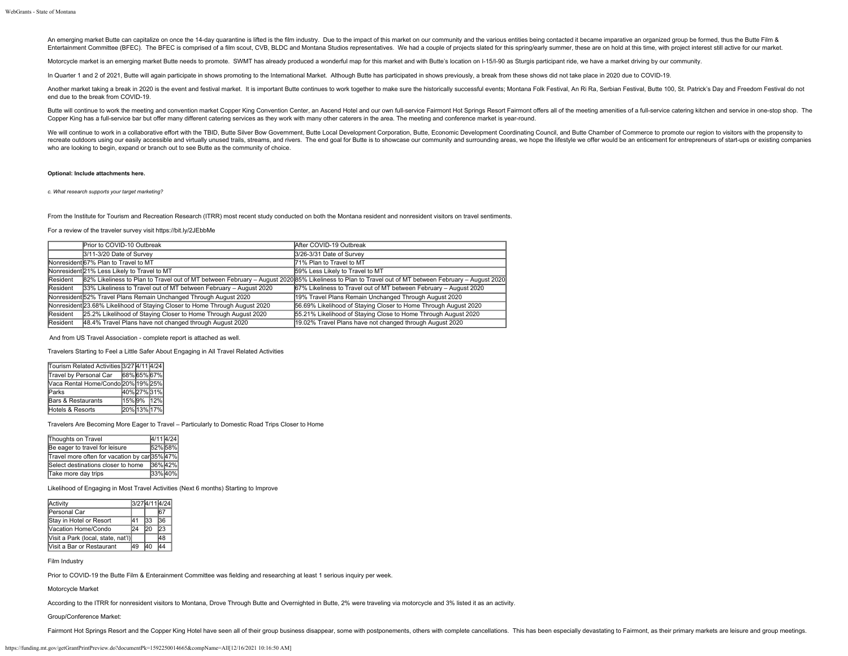An emerging market Butte can capitalize on once the 14-day quarantine is lifted is the film industry. Due to the impact of this market on our community and the various entities being contacted it became imparative an organ Entertainment Committee (BFEC). The BFEC is comprised of a film scout, CVB, BLDC and Montana Studios representatives. We had a couple of projects slated for this spring/early summer, these are on hold at this time, with pr

Motorcycle market is an emerging market Butte needs to promote. SWMT has already produced a wonderful map for this market and with Butte's location on I-15/I-90 as Sturgis participant ride, we have a market driving by our

In Quarter 1 and 2 of 2021, Butte will again participate in shows promoting to the International Market. Although Butte has participated in shows previously, a break from these shows did not take place in 2020 due to COVID

Another market taking a break in 2020 is the event and festival market. It is important Butte continues to work together to make sure the historically successful events; Montana Folk Festival, An Ri Ra, Serbian Festival, B end due to the break from COVID-19.

Butte will continue to work the meeting and convention market Copper King Convention Center, an Ascend Hotel and our own full-service Fairmont Hot Springs Resort Fairmont offers all of the meeting amenities of a full-servi Copper King has a full-service bar but offer many different catering services as they work with many other caterers in the area. The meeting and conference market is year-round.

We will continue to work in a collaborative effort with the TBID, Butte Silver Bow Government, Butte Local Development Corporation, Butte, Economic Development Coordinating Council, and Butte Chamber of Commerce to promote recreate outdoors using our easily accessible and virtually unused trails, streams, and rivers. The end goal for Butte is to showcase our community and surrounding areas, we hope the lifestyle we offer would be an enticeme who are looking to begin, expand or branch out to see Butte as the community of choice.

#### **Optional: Include attachments here.**

*c. What research supports your target marketing?*

From the Institute for Tourism and Recreation Research (ITRR) most recent study conducted on both the Montana resident and nonresident visitors on travel sentiments.

# For a review of the traveler survey visit<https://bit.ly/2JEbbMe>

|          | Prior to COVID-10 Outbreak                                                  | After COVID-19 Outbreak                                                                                                                             |
|----------|-----------------------------------------------------------------------------|-----------------------------------------------------------------------------------------------------------------------------------------------------|
|          | 3/11-3/20 Date of Survey                                                    | 3/26-3/31 Date of Survey                                                                                                                            |
|          | Nonresident 67% Plan to Travel to MT                                        | 71% Plan to Travel to MT                                                                                                                            |
|          | Nonresident 21% Less Likely to Travel to MT                                 | 59% Less Likely to Travel to MT                                                                                                                     |
| Resident |                                                                             | 82% Likeliness to Plan to Travel out of MT between February - August 2020 85% Likeliness to Plan to Travel out of MT between February - August 2020 |
| Resident | 33% Likeliness to Travel out of MT between February - August 2020           | 67% Likeliness to Travel out of MT between February - August 2020                                                                                   |
|          | Nonresident 52% Travel Plans Remain Unchanged Through August 2020           | 19% Travel Plans Remain Unchanged Through August 2020                                                                                               |
|          | Nonresident 23.68% Likelihood of Staying Closer to Home Through August 2020 | 56.69% Likelihood of Staying Closer to Home Through August 2020                                                                                     |
| Resident | 25.2% Likelihood of Staying Closer to Home Through August 2020              | 55.21% Likelihood of Staying Close to Home Through August 2020                                                                                      |
| Resident | 48.4% Travel Plans have not changed through August 2020                     | 19.02% Travel Plans have not changed through August 2020                                                                                            |

And from US Travel Association - complete report is attached as well.

Travelers Starting to Feel a Little Safer About Engaging in All Travel Related Activities

| Tourism Related Activities 3/27 4/11 4/24 |             |  |
|-------------------------------------------|-------------|--|
| Travel by Personal Car                    | 68%65%67%   |  |
| Vaca Rental Home/Condo 20% 19% 25%        |             |  |
| Parks                                     | 40% 27% 31% |  |
| Bars & Restaurants                        | 15%9% 12%   |  |
| Hotels & Resorts                          | 20% 13% 17% |  |

Travelers Are Becoming More Eager to Travel – Particularly to Domestic Road Trips Closer to Home

| Thoughts on Travel                            | $4/11$ $4/24$ |
|-----------------------------------------------|---------------|
| Be eager to travel for leisure                | 52%58%        |
| Travel more often for vacation by car 35% 47% |               |
| Select destinations closer to home            | 36% 42%       |
| Take more day trips                           | 33% 40%       |

Likelihood of Engaging in Most Travel Activities (Next 6 months) Starting to Improve

| Activity                           |     |     | 3/27 4/11 4/24 |
|------------------------------------|-----|-----|----------------|
| Personal Car                       |     |     | 167            |
| Stay in Hotel or Resort            | 141 | l33 | 36             |
| Nacation Home/Condo                | 24  | 20  | 23             |
| Visit a Park (local, state, nat'l) |     |     | 48             |
| Visit a Bar or Restaurant          | 49  | 40  | 44             |

Film Industry

Prior to COVID-19 the Butte Film & Enterainment Committee was fielding and researching at least 1 serious inquiry per week.

Motorcycle Market

According to the ITRR for nonresident visitors to Montana, Drove Through Butte and Overnighted in Butte, 2% were traveling via motorcycle and 3% listed it as an activity.

Group/Conference Market:

Fairmont Hot Springs Resort and the Copper King Hotel have seen all of their group business disappear, some with postponements, others with complete cancellations. This has been especially devastating to Fairmont, as their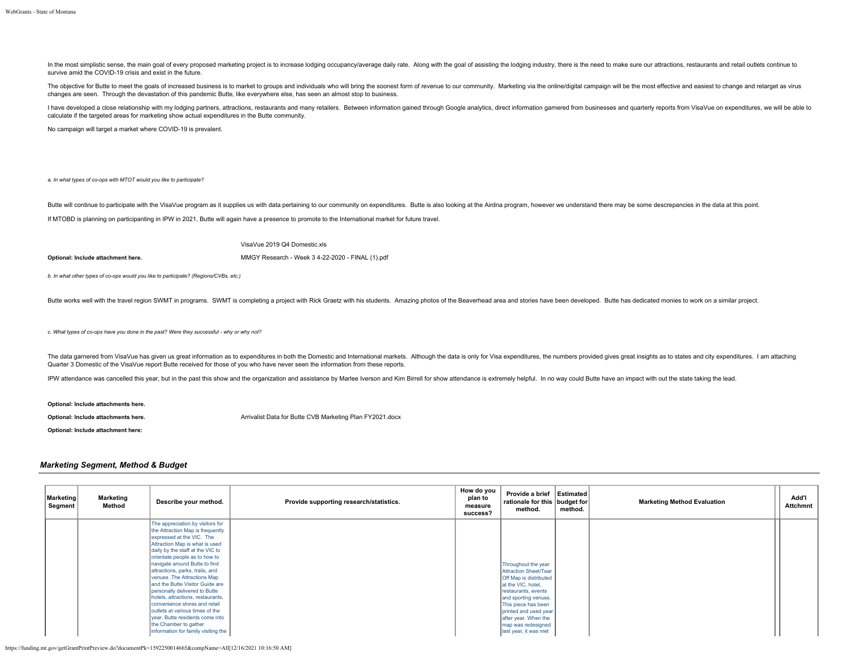In the most simplistic sense, the main goal of every proposed marketing project is to increase lodging occupancy/average daily rate. Along with the goal of assisting the lodging industry, there is the need to make sure our survive amid the COVID-19 crisis and exist in the future.

The objective for Butte to meet the goals of increased business is to market to groups and individuals who will bring the soonest form of revenue to our community. Marketing via the online/digital campaign will be the most changes are seen. Through the devastation of this pandemic Butte, like everywhere else, has seen an almost stop to business.

I have developed a close relationship with my lodging partners, attractions, restaurants and many retailers. Between information gained through Google analytics, direct information garnered from businesses and quarterly re calculate if the targeted areas for marketing show actual expenditures in the Butte community.

No campaign will target a market where COVID-19 is prevalent.

*a. In what types of co-ops with MTOT would you like to participate?*

Butte will continue to participate with the VisaVue program as it supplies us with data pertaining to our community on expenditures. Butte is also looking at the Airdna program, however we understand there may be some desc

If MTOBD is planning on participanting in IPW in 2021, Butte will again have a presence to promote to the International market for future travel.

[VisaVue 2019 Q4 Domestic.xls](https://funding.mt.gov/fileDownload.jsp?filename=1588609607841_VisaVue+2019+Q4+Domestic.xls)

**Optional: Include attachment here.** [MMGY Research - Week 3 4-22-2020 - FINAL \(1\).pdf](https://funding.mt.gov/fileDownload.jsp?filename=1588540192580_MMGY+Research+-+Week+3+4-22-2020+-+FINAL+%281%29.pdf)

*b. In what other types of co-ops would you like to participate? (Regions/CVBs, etc.)*

Butte works well with the travel region SWMT in programs. SWMT is completing a project with Rick Graetz with his students. Amazing photos of the Beaverhead area and stories have been developed. Butte has dedicated monies t

*c. What types of co-ops have you done in the past? Were they successful - why or why not?*

The data garnered from VisaVue has given us great information as to expenditures in both the Domestic and International markets. Although the data is only for Visa expenditures, the numbers provided gives great insights as Quarter 3 Domestic of the VisaVue report Butte received for those of you who have never seen the information from these reports.

IPW attendance was cancelled this year, but in the past this show and the organization and assistance by Marlee Iverson and Kim Birrell for show attendance is extremely helpful. In no way could Butte have an impact with ou

# **Optional: Include attachments here.**

**Optional: Include attachments here.** [Arrivalist Data for Butte CVB Marketing Plan FY2021.docx](https://funding.mt.gov/fileDownload.jsp?filename=1588609607831_Arrivalist+Data+for+Butte+CVB+Marketing+Plan+FY2021.docx)

**Optional: Include attachment here:**

# *Marketing Segment, Method & Budget*

| <b>Marketing</b><br>Segment | Marketing<br>Method | Describe your method.                                                                                                                                                                                                                                                                                                                                                                                                                                                                                                                                                                       | Provide supporting research/statistics. | How do you<br>plan to<br>measure<br>success? | Provide a brief   Estimated  <br>rationale for this budget for<br>method.                                                                                                                                                                 | method. | <b>Marketing Method Evaluation</b> | Add'l<br><b>Attchmnt</b> |
|-----------------------------|---------------------|---------------------------------------------------------------------------------------------------------------------------------------------------------------------------------------------------------------------------------------------------------------------------------------------------------------------------------------------------------------------------------------------------------------------------------------------------------------------------------------------------------------------------------------------------------------------------------------------|-----------------------------------------|----------------------------------------------|-------------------------------------------------------------------------------------------------------------------------------------------------------------------------------------------------------------------------------------------|---------|------------------------------------|--------------------------|
|                             |                     | The appreciation by visitors for<br>the Attraction Map is frequently<br>expressed at the VIC. The<br>Attraction Map is what is used<br>daily by the staff at the VIC to<br>orientate people as to how to<br>navigate around Butte to find<br>attractions, parks, trails, and<br>venues .The Attractions Map<br>and the Butte Visitor Guide are<br>personally delivered to Butte<br>hotels, attractions, restaurants,<br>convenience stores and retail<br>outlets at various times of the<br>vear. Butte residents come into<br>the Chamber to gather<br>information for family visiting the |                                         |                                              | Throughout the year<br>Attraction Sheet/Tear<br>Off Map is distributed<br>at the VIC, hotel,<br>restaurants, events<br>and sporting venues.<br>This piece has been<br>printed and used year<br>after year. When the<br>map was redesigned |         |                                    |                          |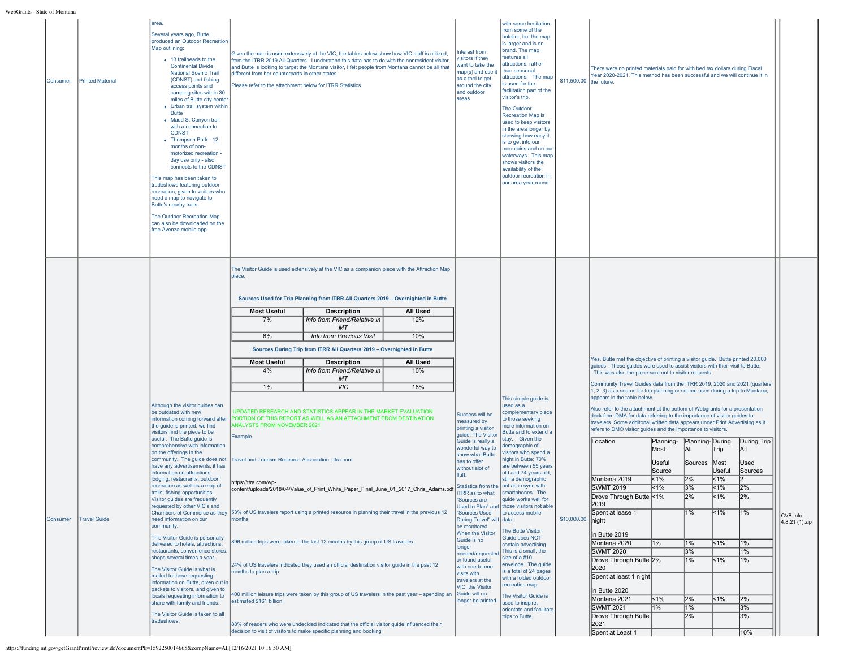| Consumer | <b>Printed Material</b> | area.<br>Several years ago. Butte<br>produced an Outdoor Recreation<br>Map outlining:<br>• 13 trailheads to the<br><b>Continental Divide</b><br><b>National Scenic Trail</b><br>(CDNST) and fishing<br>access points and<br>camping sites within 30<br>miles of Butte city-center<br>• Urban trail system within<br><b>Butte</b><br>• Maud S. Canyon trail<br>with a connection to<br><b>CDNST</b><br>• Thompson Park - 12<br>months of non-<br>motorized recreation -<br>day use only - also<br>connects to the CDNST<br>This map has been taken to<br>tradeshows featuring outdoor<br>recreation, given to visitors who<br>need a map to navigate to<br>Butte's nearby trails.<br>The Outdoor Recreation Map<br>can also be downloaded on the<br>free Avenza mobile app.                                                                                                  | different from her counterparts in other states.<br>Please refer to the attachment below for ITRR Statistics.                                                                   | Given the map is used extensively at the VIC, the tables below show how VIC staff is utilized,<br>from the ITRR 2019 All Quarters. I understand this data has to do with the nonresident visitor,<br>and Butte is looking to target the Montana visitor, I felt people from Montana cannot be all that                                                                                                                                                                                                                                                                                                                                                                                                                                                                                                                                                                                                                                                                                                                            |                                                                | nterest from<br>isitors if they<br>want to take the<br>nap(s) and use<br>as a tool to get<br>around the city<br>and outdoor<br>areas                                                                                                                                                                                                                                                                                                    | with some hesitation<br>from some of the<br>hotelier, but the map<br>is larger and is on<br>brand. The map<br>features all<br>attractions, rather<br>than seasonal<br>attractions. The map<br>'s used for the<br>facilitation part of the<br>visitor's trip.<br>The Outdoor<br><b>Recreation Map is</b><br>used to keep visitors<br>in the area longer by<br>showing how easy it<br>is to get into our<br>mountains and on our<br>waterways. This map<br>shows visitors the<br>availability of the<br>outdoor recreation in<br>our area year-round.                                                                      | \$11,500.00 the future. | There were no printed materials paid for with bed tax dollars during Fiscal<br>Year 2020-2021. This method has been successful and we will continue it in                                                                                                                                                                                                                                                                                                                                                                                                                                                                                                                                                                                                                                                                                                                                                                                                        |                                                         |                                                                       |                                                                                                                        |                                                                             |                            |
|----------|-------------------------|-----------------------------------------------------------------------------------------------------------------------------------------------------------------------------------------------------------------------------------------------------------------------------------------------------------------------------------------------------------------------------------------------------------------------------------------------------------------------------------------------------------------------------------------------------------------------------------------------------------------------------------------------------------------------------------------------------------------------------------------------------------------------------------------------------------------------------------------------------------------------------|---------------------------------------------------------------------------------------------------------------------------------------------------------------------------------|-----------------------------------------------------------------------------------------------------------------------------------------------------------------------------------------------------------------------------------------------------------------------------------------------------------------------------------------------------------------------------------------------------------------------------------------------------------------------------------------------------------------------------------------------------------------------------------------------------------------------------------------------------------------------------------------------------------------------------------------------------------------------------------------------------------------------------------------------------------------------------------------------------------------------------------------------------------------------------------------------------------------------------------|----------------------------------------------------------------|-----------------------------------------------------------------------------------------------------------------------------------------------------------------------------------------------------------------------------------------------------------------------------------------------------------------------------------------------------------------------------------------------------------------------------------------|--------------------------------------------------------------------------------------------------------------------------------------------------------------------------------------------------------------------------------------------------------------------------------------------------------------------------------------------------------------------------------------------------------------------------------------------------------------------------------------------------------------------------------------------------------------------------------------------------------------------------|-------------------------|------------------------------------------------------------------------------------------------------------------------------------------------------------------------------------------------------------------------------------------------------------------------------------------------------------------------------------------------------------------------------------------------------------------------------------------------------------------------------------------------------------------------------------------------------------------------------------------------------------------------------------------------------------------------------------------------------------------------------------------------------------------------------------------------------------------------------------------------------------------------------------------------------------------------------------------------------------------|---------------------------------------------------------|-----------------------------------------------------------------------|------------------------------------------------------------------------------------------------------------------------|-----------------------------------------------------------------------------|----------------------------|
| Consumer | <b>Travel Guide</b>     | Although the visitor guides can<br>be outdated with new<br>information coming forward after<br>the guide is printed, we find<br>visitors find the piece to be<br>useful. The Butte guide is<br>comprehensive with information<br>on the offerings in the<br>community. The guide does not Travel and Tourism Research Association   ttra.com<br>have any advertisements, it has<br>nformation on attractions,<br>odging, restaurants, outdoor<br>recreation as well as a map of<br>trails, fishing opportunities.<br>Visitor guides are frequently<br>requested by other VIC's and<br>need information on our<br>community.<br>This Visitor Guide is personally<br>delivered to hotels, attractions.<br>restaurants, convenience stores.<br>shops several times a year.<br>The Visitor Guide is what is<br>mailed to those requesting<br>information on Butte, given out in | piece.<br><b>Most Useful</b><br>7%<br>6%<br><b>Most Useful</b><br>4%<br>1%<br>ANALYSTS FROM NOVEMBER 2021<br>Example<br>https://ttra.com/wp-<br>months<br>months to plan a trip | The Visitor Guide is used extensively at the VIC as a companion piece with the Attraction Map<br>Sources Used for Trip Planning from ITRR All Quarters 2019 - Overnighted in Butte<br><b>Description</b><br>Info from Friend/Relative in<br><b>MT</b><br>Info from Previous Visit<br>Sources During Trip from ITRR All Quarters 2019 - Overnighted in Butte<br><b>Description</b><br>Info from Friend/Relative in<br><b>MT</b><br>VIC<br>UPDATED RESEARCH AND STATISTICS APPEAR IN THE MARKET EVALUATION<br>PORTION OF THIS REPORT AS WELL AS AN ATTACHMENT FROM DESTINATION<br>content/uploads/2018/04/Value_of_Print_White_Paper_Final_June_01_2017_Chris_Adams.pdf Statistics from the not as in sync with<br>Chambers of Commerce as they 53% of US travelers report using a printed resource in planning their travel in the previous 12<br>396 million trips were taken in the last 12 months by this group of US travelers<br>24% of US travelers indicated they used an official destination visitor quide in the past 12 | <b>All Used</b><br>12%<br>10%<br><b>All Used</b><br>10%<br>16% | Success will be<br>neasured by<br>printing a visitor<br>quide. The Visitor<br>Guide is really a<br>wonderful way to<br>show what Butte<br>has to offer<br>without alot of<br><b>Inff</b><br>TRR as to what<br>"Sources are<br><b>Sources Used</b><br>During Travel" will data.<br>be monitored.<br>When the Visitor<br>Guide is no<br>onger<br>heeded/requeste<br>or found useful<br>with one-to-one<br>visits with<br>travelers at the | This simple guide is<br>used as a<br>complementary piece<br>to those seeking<br>more information on<br>Butte and to extend a<br>stay. Given the<br>demographic of<br>visitors who spend a<br>night in Butte; 70%<br>are between 55 years<br>old and 74 years old,<br>still a demographic<br>smartphones. The<br>guide works well for<br>Used to Plan" and those visitors not able<br>to access mobile<br>The Butte Visitor<br>Guide does NOT<br>contain advertising.<br>This is a small, the<br>$\frac{1}{2}$ size of a #10<br>envelope. The guide<br>is a total of 24 pages<br>with a folded outdoor<br>recreation map. | \$10,000.00             | Yes, Butte met the objective of printing a visitor guide. Butte printed 20,000<br>quides. These quides were used to assist visitors with their visit to Butte.<br>This was also the piece sent out to visitor requests.<br>Community Travel Guides data from the ITRR 2019, 2020 and 2021 (quarters<br>1, 2, 3) as a source for trip planning or source used during a trip to Montana,<br>appears in the table below.<br>Also refer to the attachment at the bottom of Webgrants for a presentation<br>deck from DMA for data referring to the importance of visitor guides to<br>travelers. Some additonal written data appears under Print Advertising as it<br>refers to DMO visitor guides and the importance to visitors.<br>Location<br>Montana 2019<br><b>SWMT 2019</b><br>Drove Through Butte  <1%<br>2019<br>Spent at lease 1<br>night<br>in Butte 2019<br>Montana 2020<br><b>SWMT 2020</b><br>Drove Through Butte 2%<br>2020<br>Spent at least 1 night | Planning-<br>Most<br>Useful<br>Source<br>1%<br>1%<br>1% | Planning-During<br>iai<br>Sources<br>2%<br>3%<br>1%<br>1%<br>3%<br>1% | Trip<br>Most<br>Useful<br>  <sub>1%</sub><br>  <sub>1%</sub><br>l<1%<br>$ $ < 1%<br>  <sub>1%</sub><br>  <sub>1%</sub> | During Trip<br>ÌАII<br>Used<br>Sources<br>2%<br>12%<br>1%<br>1%<br>1%<br>1% | CVB Info<br>4.8.21 (1).zip |
|          |                         | packets to visitors, and given to<br>locals requesting information to<br>share with family and friends.<br>The Visitor Guide is taken to all<br>tradeshows.                                                                                                                                                                                                                                                                                                                                                                                                                                                                                                                                                                                                                                                                                                                 | estimated \$161 billion                                                                                                                                                         | 400 million leisure trips were taken by this group of US travelers in the past year - spending an<br>88% of readers who were undecided indicated that the official visitor guide influenced their<br>decision to visit of visitors to make specific planning and booking                                                                                                                                                                                                                                                                                                                                                                                                                                                                                                                                                                                                                                                                                                                                                          |                                                                | Guide will no<br>longer be printed.                                                                                                                                                                                                                                                                                                                                                                                                     | The Visitor Guide is<br>used to inspire,<br>orientate and facilitate<br>trips to Butte.                                                                                                                                                                                                                                                                                                                                                                                                                                                                                                                                  |                         | in Butte 2020<br>Montana 2021<br><b>SWMT 2021</b><br>Drove Through Butte<br>2021<br>Spent at Least 1                                                                                                                                                                                                                                                                                                                                                                                                                                                                                                                                                                                                                                                                                                                                                                                                                                                             | 1%<br>1%                                                | 2%<br>1%<br>2%                                                        | $ $ < 1%                                                                                                               | 2%<br>3%<br>3%<br>10%                                                       |                            |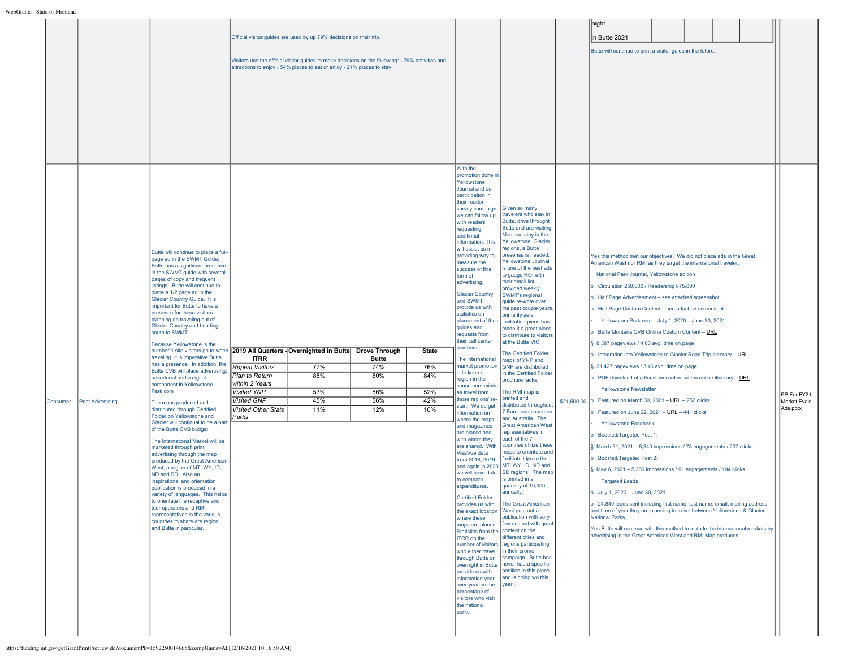|          |                          |                                                                                                                                                                                                                                                                                                                                                                                                                                                                                                                                                                                                                                                                                                                                                                                                                                                                                                                                                                                                                                                                                                                                                                                                                                                                                                                                                           |                                                                                                                                                | Official visitor guides are used by up 79% decisions on their trip.<br>Visitors use the official visitor quides to make decisions on the following: > 79% activities and<br>attractions to enjoy > 54% places to eat or enjoy > 21% places to stay |                                                 |                                          | With the<br>promotion done in<br>Yellowstone<br>Journal and our<br>participation in<br>their reader                                                                                                                                                                                                                                                                                                                                                                                                                                                                                                                                                                                                                                                                                                                                                                                                                                    |                                                                                                                                                                                                                                                                                                                                                                                                                                                                                                                                                                                                                                                                                                                                                                                                                                                                                                                                                                                                                                                                                                                                                                                                                                                                                                                                                                                                                   | in Butte 2021<br>Butte will continue to print a visitor guide in the future.                                                                                                                                                                                                                                                                                                                                                                                                                                                                                                                                                                                                                                                                                                                                                                                                                                                                                                                                                                                                                                                                                                                                                                                                                                                                                                                                                                                                                                           |                                         |
|----------|--------------------------|-----------------------------------------------------------------------------------------------------------------------------------------------------------------------------------------------------------------------------------------------------------------------------------------------------------------------------------------------------------------------------------------------------------------------------------------------------------------------------------------------------------------------------------------------------------------------------------------------------------------------------------------------------------------------------------------------------------------------------------------------------------------------------------------------------------------------------------------------------------------------------------------------------------------------------------------------------------------------------------------------------------------------------------------------------------------------------------------------------------------------------------------------------------------------------------------------------------------------------------------------------------------------------------------------------------------------------------------------------------|------------------------------------------------------------------------------------------------------------------------------------------------|----------------------------------------------------------------------------------------------------------------------------------------------------------------------------------------------------------------------------------------------------|-------------------------------------------------|------------------------------------------|----------------------------------------------------------------------------------------------------------------------------------------------------------------------------------------------------------------------------------------------------------------------------------------------------------------------------------------------------------------------------------------------------------------------------------------------------------------------------------------------------------------------------------------------------------------------------------------------------------------------------------------------------------------------------------------------------------------------------------------------------------------------------------------------------------------------------------------------------------------------------------------------------------------------------------------|-------------------------------------------------------------------------------------------------------------------------------------------------------------------------------------------------------------------------------------------------------------------------------------------------------------------------------------------------------------------------------------------------------------------------------------------------------------------------------------------------------------------------------------------------------------------------------------------------------------------------------------------------------------------------------------------------------------------------------------------------------------------------------------------------------------------------------------------------------------------------------------------------------------------------------------------------------------------------------------------------------------------------------------------------------------------------------------------------------------------------------------------------------------------------------------------------------------------------------------------------------------------------------------------------------------------------------------------------------------------------------------------------------------------|------------------------------------------------------------------------------------------------------------------------------------------------------------------------------------------------------------------------------------------------------------------------------------------------------------------------------------------------------------------------------------------------------------------------------------------------------------------------------------------------------------------------------------------------------------------------------------------------------------------------------------------------------------------------------------------------------------------------------------------------------------------------------------------------------------------------------------------------------------------------------------------------------------------------------------------------------------------------------------------------------------------------------------------------------------------------------------------------------------------------------------------------------------------------------------------------------------------------------------------------------------------------------------------------------------------------------------------------------------------------------------------------------------------------------------------------------------------------------------------------------------------------|-----------------------------------------|
| Consumer | <b>Print Advertising</b> | Butte will continue to place a full-<br>page ad in the SWMT Guide.<br>Butte has a significant presence<br>in the SWMT guide with several<br>pages of copy and frequent<br>listings. Butte will continue to<br>place a 1/2 page ad in the<br>Glacier Country Guide. It is<br>important for Butte to have a<br>presence for those visitors<br>planning on traveling out of<br>Glacier Country and heading<br>south to SWMT.<br>Because Yellowstone is the<br>number 1 site visitors go to when   2019 All Quarters - Overnighted in Butte  Drove Through<br>traveling, it is imperative Butte<br>has a presence. In addition, the<br>Butte CVB will place advertising,<br>advertorial and a digital<br>component in Yellowstone<br>Park.com<br>The maps produced and<br>distributed through Certified<br>Folder on Yellowstone and<br>Glacier will continual to be a part<br>of the Butte CVB budget.<br>The International Market will be<br>marketed through print<br>advertising through the map<br>produced by the Great American<br>West, a region of MT, WY, ID,<br>ND and SD. Also an<br>inspirational and orientation<br>publication is produced in a<br>variety of languages. This helps<br>to orientate the receptive and<br>tour operators and RMI<br>representatives in the various<br>countries to share are region<br>and Butte in particular. | <b>ITRR</b><br><b>Repeat Visitors</b><br>Plan to Return<br>within 2 Years<br>Visited YNP<br><b>Visited GNP</b><br>Visited Other State<br>Parks | 77%<br>88%<br>53%<br>45%<br>11%                                                                                                                                                                                                                    | <b>Butte</b><br>74%<br>80%<br>56%<br>56%<br>12% | State<br>76%<br>84%<br>52%<br>42%<br>10% | survey campaign<br>we can follow up<br>with readers<br>requesting<br>additional<br>information. This<br>will assist us in<br>providing way to<br>measure the<br>success of this<br>form of<br>advertising.<br><b>Glacier Country</b><br>and SWMT<br>provide us with<br>statistics on<br>guides and<br>requests from<br>their call center<br>numbers.<br>The international<br>is to keep our<br>region in the<br>consumers minds<br>as travel from<br>those regions' re-<br>start. We do get<br>information on<br>where the maps<br>and magazines<br>are placed and<br>with whom they<br>are shared. With<br>VisaVue data<br>from 2018, 2019<br>to compare<br>expenditures.<br>Certified Folder<br>provides us with<br>the exact location West puts out a<br>where these<br>Statistics from the   content on the<br><b>ITRR</b> on the<br>who either travel<br>through Butte or<br>provide us with<br>over-year on the<br>percentage of | Given so many<br>travelers who stay in<br>Butte, drive throught<br>Butte and are visiting<br>Montana stay in the<br>Yellowstone, Glacier<br>regions, a Butte<br>presense is needed.<br>Yellowstone Journal<br>is one of the best ads<br>to gauge ROI with<br>their email list<br>provided weekly.<br><b>SWMT's regional</b><br>quide re-write over<br>the past couple years,<br>primarily as a<br>placement of their   facilitation piece has<br>made it a great piece<br>to distribute to visitors<br>at the Butte VIC.<br><b>The Certified Folder</b><br>maps of YNP and<br>market promotion GNP are distributed<br>in the Certified Folder<br>brochure racks.<br>The RMI map is<br>printed and<br>distributed throughout<br><b>7 European countries</b><br>and Austraila. The<br><b>Great American West</b><br>representatives in<br>each of the 7<br>countries utilize these<br>naps to orientate and<br>facilitate trips to the<br>and again in 2020 MT, WY, ID, ND and<br>we will have data SD regions. The map<br>is printed in a<br>quanitity of 10,000<br>annually.<br>The Great American<br>publication with very<br>maps are placed. few ads but with great<br>different cities and<br>number of visitors regions participating<br>in their promo<br>campaign. Butte has<br>overnight in Butte   never had a specific<br>position in this piece<br>information year- and is doing wo this<br>$ year$ . | Yes this method met our objectives. We did not place ads in the Great<br>American West nor RMI as they target the international traveler.<br>National Park Journal, Yellowstone edition<br>o Circulation 250,000 / Readership 875,000<br>o Half Page Advertisement - see attached screenshot<br>o Half Page Custom Content - see attached screenshot<br>YellowstonePark.com - July 1, 2020 - June 30, 2021<br>o Butte Montana CVB Online Custom Content - URL<br>§ 8,387 pageviews / 4:03 avg. time on page<br>o Integration into Yellowstone to Glacier Road Trip Itinerary - URL<br>§ 31,427 pageviews / 3:46 avg. time on page<br>o PDF download of ad/custom content within online itinerary - URL<br><b>Yellowstone Newsletter</b><br>\$21,500.00 $\vert$ o Featured on March 30, 2021 - URL - 252 clicks<br>$\vert$ o Featured on June 22, 2021 - URL - 441 clicks<br><b>Yellowstone Facebook</b><br>o Boosted/Targeted Post 1:<br>$\frac{1}{3}$ March 31, 2021 - 5,340 impressions / 78 engagements / 207 clicks<br>o Boosted/Targeted Post 2:<br>§ May 6, 2021 - 5,306 impressions / 91 engagements / 194 clicks<br><b>Targeted Leads</b><br>o July 1, 2020 - June 30, 2021<br>o 24,849 leads sent including first name, last name, email, mailing address<br>and time of year they are planning to travel between Yellowstone & Glacier<br>National Parks<br>Yes Butte will continue with this method to include the international markets by<br>advertising in the Great American West and RMI Map produces. | PP For FY21<br>Market Evals<br>Ads.pptx |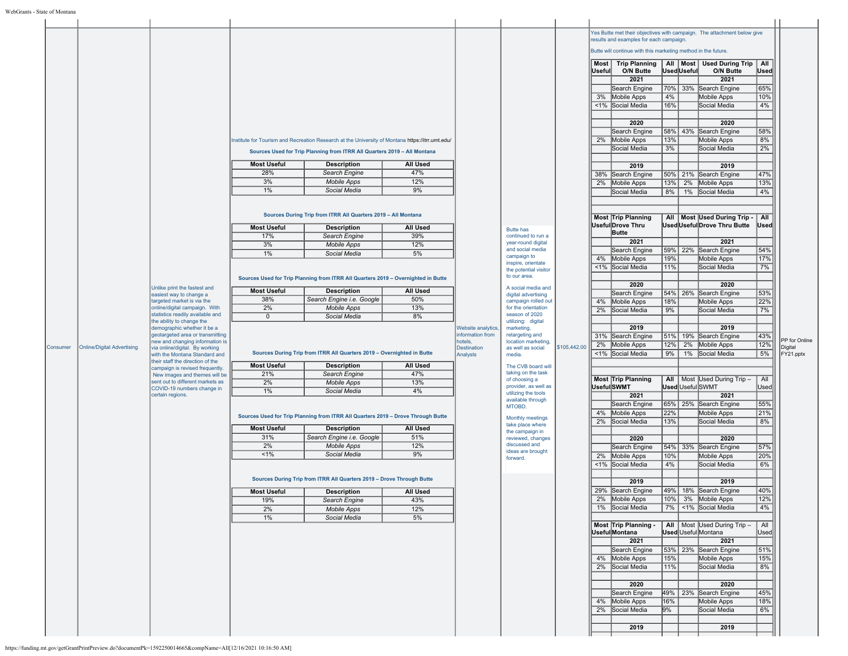|          |                                   |                                                                   |                    |                                                                                                  |                 |                                              |                                             |              |          | results and examples for each campaign.                       |     |            | Yes Butte met their objectives with campaign. The attachment below give |             |                      |
|----------|-----------------------------------|-------------------------------------------------------------------|--------------------|--------------------------------------------------------------------------------------------------|-----------------|----------------------------------------------|---------------------------------------------|--------------|----------|---------------------------------------------------------------|-----|------------|-------------------------------------------------------------------------|-------------|----------------------|
|          |                                   |                                                                   |                    |                                                                                                  |                 |                                              |                                             |              |          | Butte will continue with this marketing method in the future. |     |            |                                                                         |             |                      |
|          |                                   |                                                                   |                    |                                                                                                  |                 |                                              |                                             |              | ∣Useful∣ | Most   Trip Planning<br>O/N Butte                             |     | UsedUseful | All   Most   Used During Trip   All<br>O/N Butte                        | Used        |                      |
|          |                                   |                                                                   |                    |                                                                                                  |                 |                                              |                                             |              |          | 2021                                                          |     |            | 2021                                                                    |             |                      |
|          |                                   |                                                                   |                    |                                                                                                  |                 |                                              |                                             |              |          | Search Engine                                                 |     |            | 70% 33% Search Engine                                                   | 65%         |                      |
|          |                                   |                                                                   |                    |                                                                                                  |                 |                                              |                                             |              |          | 3% Mobile Apps                                                | 4%  |            | Mobile Apps                                                             | 10%         |                      |
|          |                                   |                                                                   |                    |                                                                                                  |                 |                                              |                                             |              |          | <1% Social Media                                              | 16% |            | Social Media                                                            | 4%          |                      |
|          |                                   |                                                                   |                    |                                                                                                  |                 |                                              |                                             |              |          |                                                               |     |            |                                                                         |             |                      |
|          |                                   |                                                                   |                    |                                                                                                  |                 |                                              |                                             |              |          | 2020                                                          |     |            | 2020                                                                    |             |                      |
|          |                                   |                                                                   |                    |                                                                                                  |                 |                                              |                                             |              |          | Search Engine                                                 | 13% |            | 58% 43% Search Engine<br><b>Mobile Apps</b>                             | 58%<br>8%   |                      |
|          |                                   |                                                                   |                    | Institute for Tourism and Recreation Research at the University of Montana https://itrr.umt.edu/ |                 |                                              |                                             |              |          | 2% Mobile Apps<br>Social Media                                | 3%  |            | Social Media                                                            | 2%          |                      |
|          |                                   |                                                                   |                    | Sources Used for Trip Planning from ITRR All Quarters 2019 - All Montana                         |                 |                                              |                                             |              |          |                                                               |     |            |                                                                         |             |                      |
|          |                                   |                                                                   | <b>Most Useful</b> | <b>Description</b>                                                                               | <b>All Used</b> |                                              |                                             |              |          | 2019                                                          |     |            | 2019                                                                    |             |                      |
|          |                                   |                                                                   | 28%                | Search Engine                                                                                    | 47%             |                                              |                                             |              |          | 38% Search Engine                                             |     |            | 50% 21% Search Engine                                                   | 47%         |                      |
|          |                                   |                                                                   | 3%                 | <b>Mobile Apps</b>                                                                               | 12%             |                                              |                                             |              |          | 2% Mobile Apps                                                | 13% |            | 2% Mobile Apps                                                          | 13%         |                      |
|          |                                   |                                                                   | $1\%$              | Social Media                                                                                     | 9%              |                                              |                                             |              |          | Social Media                                                  | 8%  |            | 1% Social Media                                                         | 4%          |                      |
|          |                                   |                                                                   |                    |                                                                                                  |                 |                                              |                                             |              |          |                                                               |     |            |                                                                         |             |                      |
|          |                                   |                                                                   |                    | Sources During Trip from ITRR All Quarters 2019 - All Montana                                    |                 |                                              |                                             |              |          | <b>Most Trip Planning</b>                                     |     |            | All   Most   Used During Trip -                                         | All         |                      |
|          |                                   |                                                                   | <b>Most Useful</b> | <b>Description</b>                                                                               | All Used        |                                              |                                             |              |          | Useful Drove Thru                                             |     |            | Used Useful Drove Thru Butte                                            | Used        |                      |
|          |                                   |                                                                   | 17%                | Search Engine                                                                                    | 39%             |                                              | <b>Butte has</b><br>continued to run a      |              |          | Butte                                                         |     |            |                                                                         |             |                      |
|          |                                   |                                                                   | 3%                 | <b>Mobile Apps</b>                                                                               | 12%             |                                              | year-round digital                          |              |          | 2021                                                          |     |            | 2021                                                                    |             |                      |
|          |                                   |                                                                   | $1\%$              | Social Media                                                                                     | 5%              |                                              | and social media<br>campaign to             |              |          | Search Engine                                                 |     |            | 59% 22% Search Engine                                                   | 54%         |                      |
|          |                                   |                                                                   |                    |                                                                                                  |                 |                                              | inspire, orientate                          |              |          | 4% Mobile Apps                                                | 19% |            | Mobile Apps                                                             | 17%         |                      |
|          |                                   |                                                                   |                    |                                                                                                  |                 |                                              | the potential visitor<br>to our area.       |              |          | <1% Social Media                                              | 11% |            | Social Media                                                            | 7%          |                      |
|          |                                   |                                                                   |                    | Sources Used for Trip Planning from ITRR All Quarters 2019 - Overnighted in Butte                |                 |                                              |                                             |              |          | 2020                                                          |     |            | 2020                                                                    |             |                      |
|          |                                   | Unlike print the fastest and<br>easiest way to change a           | <b>Most Useful</b> | <b>Description</b>                                                                               | <b>All Used</b> |                                              | A social media and<br>digital advertising   |              |          | Search Engine                                                 |     |            | 54%   26% Search Engine                                                 | 53%         |                      |
|          |                                   | targeted market is via the                                        | 38%                | Search Engine i.e. Google                                                                        | 50%             |                                              | campaign rolled out                         |              |          | 4% Mobile Apps                                                | 18% |            | Mobile Apps                                                             | 22%         |                      |
|          |                                   | online/digital campaign. With<br>statistics readily available and | 2%<br>$\mathbf{0}$ | <b>Mobile Apps</b><br>Social Media                                                               | 13%<br>8%       |                                              | for the orientation<br>season of 2020       |              |          | 2% Social Media                                               | 9%  |            | Social Media                                                            | 7%          |                      |
|          |                                   | the ability to change the                                         |                    |                                                                                                  |                 |                                              | utilizing: digital                          |              |          |                                                               |     |            |                                                                         |             |                      |
|          |                                   | demographic whether it be a<br>geotargeted area or transmitting   |                    |                                                                                                  |                 | <b>Website analytics</b><br>information from | marketing,<br>retargeting and               |              |          | 2019<br>31% Search Engine                                     |     |            | 2019<br>51% 19% Search Engine                                           | 43%         |                      |
|          |                                   | new and changing information is                                   |                    |                                                                                                  |                 | hotels,                                      | location marketing,                         |              |          | 2% Mobile Apps                                                |     |            | 12% 2% Mobile Apps                                                      | 12%         | PP for Online        |
| Consumer | <b>Online/Digital Advertising</b> | via online/digital. By working<br>with the Montana Standard and   |                    | Sources During Trip from ITRR All Quarters 2019 - Overnighted in Butte                           |                 | <b>Destination</b><br>Analysts               | as well as social<br>media.                 | \$105,442.00 |          | <1% Social Media                                              | 9%  |            | 1% Social Media                                                         | 5%          | Digital<br>FY21.pptx |
|          |                                   | their staff the direction of the                                  | <b>Most Useful</b> | <b>Description</b>                                                                               | <b>All Used</b> |                                              | The CVB board will                          |              |          |                                                               |     |            |                                                                         |             |                      |
|          |                                   | campaign is revised frequently.<br>New images and themes will be  | 21%                | Search Engine                                                                                    | 47%             |                                              | taking on the task                          |              |          |                                                               |     |            |                                                                         |             |                      |
|          |                                   | sent out to different markets as                                  | 2%                 | <b>Mobile Apps</b>                                                                               | 13%             |                                              | of choosing a<br>provider, as well as       |              |          | <b>Most Trip Planning</b><br>UsefulSWMT                       |     |            | All   Most   Used During Trip -<br>Used Useful SWMT                     | All         |                      |
|          |                                   | COVID-19 numbers change in<br>certain regions.                    | $1\%$              | Social Media                                                                                     | 4%              |                                              | utilizing the tools                         |              |          | 2021                                                          |     |            | 2021                                                                    | Used        |                      |
|          |                                   |                                                                   |                    |                                                                                                  |                 |                                              | available through<br>MTOBD.                 |              |          | Search Engine                                                 |     |            | 65%   25% Search Engine                                                 | 55%         |                      |
|          |                                   |                                                                   |                    | Sources Used for Trip Planning from ITRR All Quarters 2019 - Drove Through Butte                 |                 |                                              |                                             |              |          | 4% Mobile Apps                                                | 22% |            | Mobile Apps                                                             | 21%         |                      |
|          |                                   |                                                                   |                    |                                                                                                  |                 |                                              | <b>Monthly meetings</b><br>take place where |              |          | 2% Social Media                                               | 13% |            | Social Media                                                            | 8%          |                      |
|          |                                   |                                                                   | <b>Most Useful</b> | Description                                                                                      | All Used        |                                              | the campaign in                             |              |          |                                                               |     |            |                                                                         |             |                      |
|          |                                   |                                                                   | 31%<br>2%          | Search Engine i.e. Google<br><b>Mobile Apps</b>                                                  | 51%<br>12%      |                                              | reviewed, changes<br>discussed and          |              |          | 2020<br>Search Engine                                         |     |            | 2020                                                                    |             |                      |
|          |                                   |                                                                   | 1%                 | Social Media                                                                                     | 9%              |                                              | ideas are brought                           |              |          | 2% Mobile Apps                                                | 10% |            | 54% 33% Search Engine<br>Mobile Apps                                    | 57%<br>20%  |                      |
|          |                                   |                                                                   |                    |                                                                                                  |                 |                                              | forward.                                    |              |          | <1% Social Media                                              | 4%  |            | Social Media                                                            | 6%          |                      |
|          |                                   |                                                                   |                    |                                                                                                  |                 |                                              |                                             |              |          |                                                               |     |            |                                                                         |             |                      |
|          |                                   |                                                                   |                    | Sources During Trip from ITRR All Quarters 2019 - Drove Through Butte                            |                 |                                              |                                             |              |          | 2019                                                          |     |            | 2019                                                                    |             |                      |
|          |                                   |                                                                   | <b>Most Useful</b> | <b>Description</b>                                                                               | All Used        |                                              |                                             |              |          | 29% Search Engine                                             |     |            | 49% 18% Search Engine                                                   | 40%         |                      |
|          |                                   |                                                                   | 1970               | Search Engine                                                                                    | 43%             |                                              |                                             |              |          | 2% Mobile Apps                                                |     |            | 10% 3% Mobile Apps                                                      | 12%         |                      |
|          |                                   |                                                                   | 2%                 | <b>Mobile Apps</b>                                                                               | 12%             |                                              |                                             |              |          | 1% Social Media                                               |     |            | 7% <1% Social Media                                                     | 4%          |                      |
|          |                                   |                                                                   | $1\%$              | Social Media                                                                                     | 5%              |                                              |                                             |              |          | Most Trip Planning -                                          |     |            | All   Most   Used During Trip -                                         | All         |                      |
|          |                                   |                                                                   |                    |                                                                                                  |                 |                                              |                                             |              |          | UsefulMontana                                                 |     |            | Used Useful Montana                                                     | <b>Used</b> |                      |
|          |                                   |                                                                   |                    |                                                                                                  |                 |                                              |                                             |              |          | 2021                                                          |     |            | 2021                                                                    |             |                      |
|          |                                   |                                                                   |                    |                                                                                                  |                 |                                              |                                             |              |          | Search Engine                                                 |     |            | 53% 23% Search Engine                                                   | 51%         |                      |
|          |                                   |                                                                   |                    |                                                                                                  |                 |                                              |                                             |              |          | 4% Mobile Apps                                                | 15% |            | Mobile Apps                                                             | 15%         |                      |
|          |                                   |                                                                   |                    |                                                                                                  |                 |                                              |                                             |              |          | 2% Social Media                                               | 11% |            | Social Media                                                            | 8%          |                      |
|          |                                   |                                                                   |                    |                                                                                                  |                 |                                              |                                             |              |          | 2020                                                          |     |            | 2020                                                                    |             |                      |
|          |                                   |                                                                   |                    |                                                                                                  |                 |                                              |                                             |              |          | Search Engine                                                 |     |            | 49%   23% Search Engine                                                 | 45%         |                      |
|          |                                   |                                                                   |                    |                                                                                                  |                 |                                              |                                             |              |          | 4% Mobile Apps                                                | 16% |            | Mobile Apps                                                             | 18%         |                      |
|          |                                   |                                                                   |                    |                                                                                                  |                 |                                              |                                             |              |          | 2% Social Media                                               | 9%  |            | Social Media                                                            | 6%          |                      |
|          |                                   |                                                                   |                    |                                                                                                  |                 |                                              |                                             |              |          |                                                               |     |            |                                                                         |             |                      |
|          |                                   |                                                                   |                    |                                                                                                  |                 |                                              |                                             |              |          | 2019                                                          |     |            | 2019                                                                    |             |                      |
|          |                                   |                                                                   |                    |                                                                                                  |                 |                                              |                                             |              |          |                                                               |     |            |                                                                         |             |                      |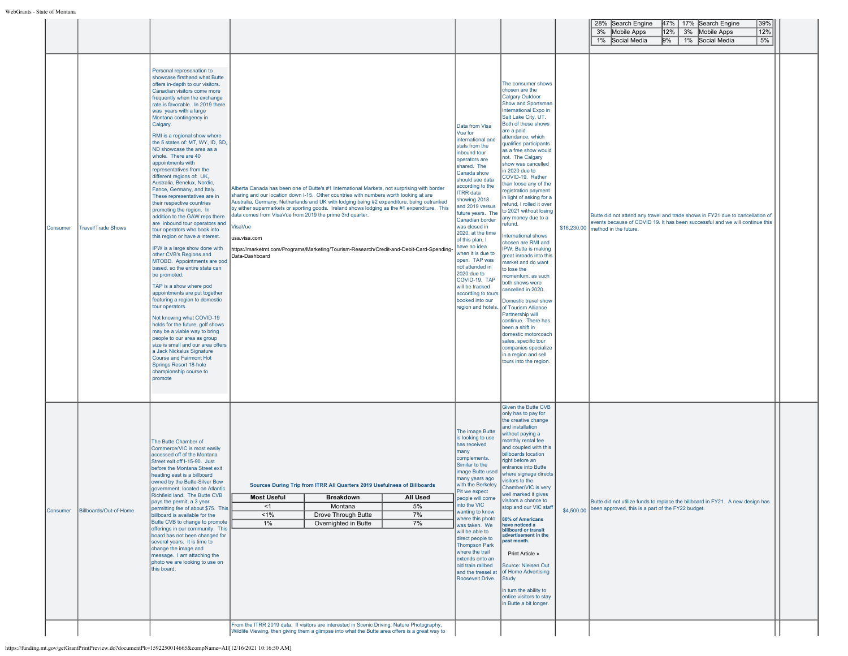|          |                           |                                                                                                                                                                                                                                                                                                                                                                                                                                                                                                                                                                                                                                                                                                                                                                                                                                                                                                                                                                                                                                                                                                                                                                                                                                                                                                                                        |                                                                                                              |                                                                                                                                                                                                                                                                                                                                                                                                                                                                              |                            |                                                                                                                                                                                                                                                                                                                                                                                                                                                                                                                           |                                                                                                                                                                                                                                                                                                                                                                                                                                                                                                                                                                                                                                                                                                                                                                                                                                                                                                                                                   | 28% Search Engine<br>47%   17% Search Engine<br>39%<br>12%<br>3% Mobile Apps<br>12%<br>3% Mobile Apps<br>1% Social Media<br>9%<br>$1\%$<br>Social Media<br>5%                                       |  |
|----------|---------------------------|----------------------------------------------------------------------------------------------------------------------------------------------------------------------------------------------------------------------------------------------------------------------------------------------------------------------------------------------------------------------------------------------------------------------------------------------------------------------------------------------------------------------------------------------------------------------------------------------------------------------------------------------------------------------------------------------------------------------------------------------------------------------------------------------------------------------------------------------------------------------------------------------------------------------------------------------------------------------------------------------------------------------------------------------------------------------------------------------------------------------------------------------------------------------------------------------------------------------------------------------------------------------------------------------------------------------------------------|--------------------------------------------------------------------------------------------------------------|------------------------------------------------------------------------------------------------------------------------------------------------------------------------------------------------------------------------------------------------------------------------------------------------------------------------------------------------------------------------------------------------------------------------------------------------------------------------------|----------------------------|---------------------------------------------------------------------------------------------------------------------------------------------------------------------------------------------------------------------------------------------------------------------------------------------------------------------------------------------------------------------------------------------------------------------------------------------------------------------------------------------------------------------------|---------------------------------------------------------------------------------------------------------------------------------------------------------------------------------------------------------------------------------------------------------------------------------------------------------------------------------------------------------------------------------------------------------------------------------------------------------------------------------------------------------------------------------------------------------------------------------------------------------------------------------------------------------------------------------------------------------------------------------------------------------------------------------------------------------------------------------------------------------------------------------------------------------------------------------------------------|-----------------------------------------------------------------------------------------------------------------------------------------------------------------------------------------------------|--|
| Consumer | <b>Travel/Trade Shows</b> | Personal represenation to<br>showcase firsthand what Butte<br>offers in-depth to our visitors.<br>Canadian visitors come more<br>frequently when the exchange<br>rate is favorable. In 2019 there<br>was years with a large<br>Montana contingency in<br>Calgary.<br>RMI is a regional show where<br>the 5 states of: MT, WY, ID, SD,<br>ND showcase the area as a<br>whole. There are 40<br>appointments with<br>representatives from the<br>different regions of: UK,<br>Australia, Benelux, Nordic,<br>Fance, Germany, and Italy.<br>These representatives are in<br>their respective countries<br>promoting the region. In<br>addition to the GAW reps there<br>are inbound tour operators and<br>tour operators who book into<br>this region or have a interest.<br>IPW is a large show done with<br>other CVB's Regions and<br>MTOBD. Appointments are pod<br>based, so the entire state can<br>be promoted.<br>TAP is a show where pod<br>appointments are put together<br>featuring a region to domestic<br>tour operators.<br>Not knowing what COVID-19<br>holds for the future, golf shows<br>may be a viable way to bring<br>people to our area as group<br>size is small and our area offers<br>a Jack Nickalus Signature<br><b>Course and Fairmont Hot</b><br>Springs Resort 18-hole<br>championship course to<br>promote | data comes from VisaVue from 2019 the prime 3rd quarter.<br><b>VisaVue</b><br>usa.visa.com<br>Data-Dashboard | Alberta Canada has been one of Butte's #1 International Markets, not surprising with border<br>sharing and our location down I-15. Other countries with numbers worth looking at are<br>Australia, Germany, Netherlands and UK with lodging being #2 expenditure, being outranked<br>by either supermarkets or sporting goods. Ireland shows lodging as the #1 expenditure. This<br>https://marketmt.com/Programs/Marketing/Tourism-Research/Credit-and-Debit-Card-Spending- |                            | Data from Visa<br>Vue for<br>international and<br>stats from the<br>inbound tour<br>operators are<br>shared. The<br>Canada show<br>should see data<br>according to the<br><b>ITRR</b> data<br>showing 2018<br>and 2019 versus<br>future years. The<br>Canadian border<br>was closed in<br>2020, at the time<br>of this plan, I<br>have no idea<br>when it is due to<br>open. TAP was<br>not attended in<br>2020 due to<br>COVID-19. TAP<br>will be tracked<br>according to tours<br>booked into our<br>region and hotels. | The consumer shows<br>chosen are the<br><b>Calgary Outdoor</b><br>Show and Sportsman<br>International Expo in<br>Salt Lake City, UT.<br>Both of these shows<br>are a paid<br>attendance, which<br><b>ualifies participants</b><br>as a free show would<br>not. The Calgary<br>show was cancelled<br>in 2020 due to<br>COVID-19. Rather<br>than loose any of the<br>registration payment<br>in light of asking for a<br>refund, I rolled it over<br>to 2021 without losing<br>any money due to a<br>efund.<br>nternational shows<br>chosen are RMI and<br>IPW, Butte is making<br>great inroads into this<br>narket and do want<br>to lose the<br>nomentum, as such<br>both shows were<br>cancelled in 2020.<br>Domestic travel show<br>of Tourism Alliance<br>Partnership will<br>continue. There has<br>been a shift in<br>domestic motorcoach<br>sales, specific tour<br>companies specialize<br>in a region and sell<br>tours into the region. | Butte did not attend any travel and trade shows in FY21 due to cancellation of<br>events because of COVID 19. It has been successful and we will continue this<br>\$16,230.00 method in the future. |  |
| Consumer | Billboards/Out-of-Home    | The Butte Chamber of<br>Commerce/VIC is most easily<br>accessed off of the Montana<br>Street exit off I-15-90. Just<br>before the Montana Street exit<br>heading east is a billboard<br>owned by the Butte-Silver Bow<br>government, located on Atlantic<br>Richfield land. The Butte CVB<br>pays the permit, a 3 year<br>permitting fee of about \$75. This<br>billboard is available for the<br>Butte CVB to change to promote<br>offerings in our community. This<br>board has not been changed for<br>several years. It is time to<br>change the image and<br>message. I am attaching the<br>photo we are looking to use on<br>this board.                                                                                                                                                                                                                                                                                                                                                                                                                                                                                                                                                                                                                                                                                         | <b>Most Useful</b><br><1<br>1%<br>$1\%$                                                                      | Sources During Trip from ITRR All Quarters 2019 Usefulness of Billboards<br><b>Breakdown</b><br>Montana<br>Drove Through Butte<br>Overnighted in Butte                                                                                                                                                                                                                                                                                                                       | All USed<br>5%<br>7%<br>7% | The image Butte<br>is looking to use<br>has received<br>many<br>complements.<br>Similar to the<br>mage Butte used<br>many years ago<br>with the Berkeley<br>Pit we expect<br>people will come<br>into the VIC<br>wanting to know<br>where this photo<br>was taken. We<br>will be able to<br>direct people to<br><b>Thompson Park</b><br>where the trail<br>extends onto an<br>old train railbed<br>and the tressel at<br>Roosevelt Drive.                                                                                 | <b>Given the Butte CVB</b><br>only has to pay for<br>the creative change<br>and installation<br>without paying a<br>monthly rental fee<br>and coupled with this<br>billboards location<br>right before an<br>entrance into Butte<br>where signage directs<br>isitors to the<br>Chamber/VIC is very<br>well marked it gives<br>visitors a chance to<br>stop and our VIC staff<br>80% of Americans<br>have noticed a<br>billboard or transit<br>advertisement in the<br>past month.<br>Print Article »<br>Source: Nielsen Out<br>of Home Advertising<br><b>Study</b><br>in turn the ability to<br>entice visitors to stay<br>in Butte a bit longer.                                                                                                                                                                                                                                                                                                 | Butte did not utilize funds to replace the billboard in FY21. A new design has<br>\$4,500.00 been approved, this is a part of the FY22 budget.                                                      |  |
|          |                           |                                                                                                                                                                                                                                                                                                                                                                                                                                                                                                                                                                                                                                                                                                                                                                                                                                                                                                                                                                                                                                                                                                                                                                                                                                                                                                                                        |                                                                                                              | From the ITRR 2019 data. If visitors are interested in Scenic Driving, Nature Photography,<br>Wildlife Viewing, then giving them a glimpse into what the Butte area offers is a great way to                                                                                                                                                                                                                                                                                 |                            |                                                                                                                                                                                                                                                                                                                                                                                                                                                                                                                           |                                                                                                                                                                                                                                                                                                                                                                                                                                                                                                                                                                                                                                                                                                                                                                                                                                                                                                                                                   |                                                                                                                                                                                                     |  |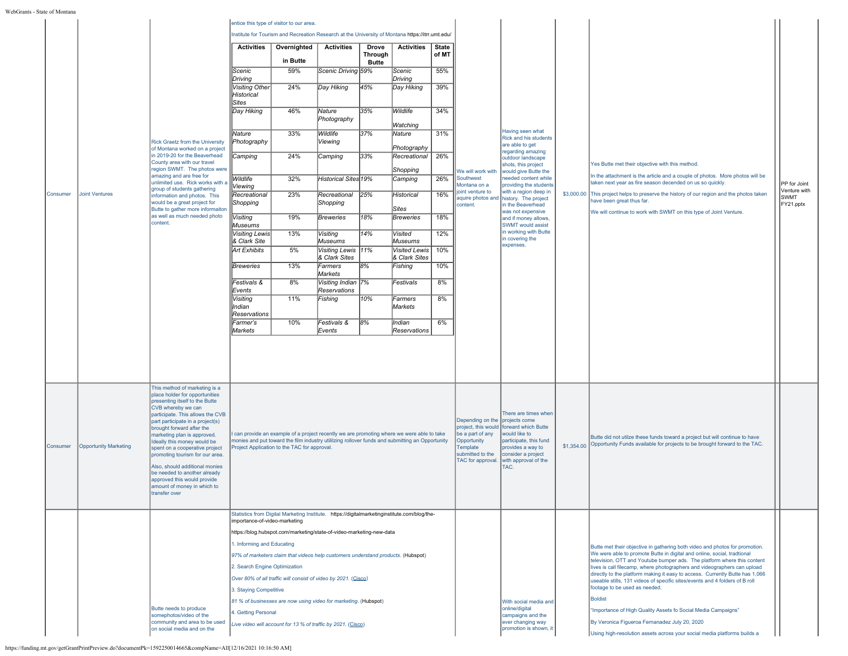| IConsumer | <b>Joint Ventures</b>        | Rick Graetz from the University<br>of Montana worked on a project<br>in 2019-20 for the Beaverhead<br>County area with our travel<br>region SWMT. The photos were<br>amazing and are free for<br>unlimited use. Rick works with a<br>group of students gathering<br>information and photos. This<br>would be a great project for<br>Butte to gather more informaiton<br>as well as much needed photo<br>content.                                                                                                 | <b>Activities</b><br>Scenic<br>Driving<br><b>Visiting Other</b><br>Historical<br>Sites<br>Day Hiking<br>Nature<br>Photography<br>Camping<br>Wildlife<br>Viewing<br>Recreational<br>Shopping<br>Visiting<br>Museums<br><b>Visiting Lewis</b><br>& Clark Site<br>Art Exhibits<br>Breweries<br>Festivals &<br>Events<br>Visiting<br>Indian<br>Reservations<br>Farmer's<br>Markets | entice this type of visitor to our area.<br>Institute for Tourism and Recreation Research at the University of Montana https://itrr.umt.edu/<br>Overnighted<br>in Butte<br>59%<br>24%<br>46%<br>33%<br>24%<br>32%<br>23%<br>19%<br>13%<br>5%<br>13%<br>8%<br>11%<br>10%                                                                                                                                                                                                                                                                                                                                        | <b>Activities</b><br>Scenic Driving 59%<br>Day Hiking<br>Mature<br>Photography<br><i>Wildlife</i><br>Viewing<br>Camping<br>Historical Sites 19%<br>Recreational<br>Shopping<br><b>Breweries</b><br><b>Visiting</b><br>Museums<br>Visiting Lewis 11%<br>& Clark Sites<br>Farmers<br>Markets<br>Visiting Indian 7%<br>Reservations<br>Fishing<br>Festivals &<br>Events | <b>Drove</b><br>Through<br><b>Butte</b><br>45%<br>35%<br>37%<br>33%<br>25%<br>18%<br>14%<br>8%<br>10%<br>8% | <b>Activities</b><br>Scenic<br>Driving<br>Day Hiking<br>Wildlife<br>Watching<br>Nature<br>Photography<br>Recreational<br>Shopping<br>Camping<br>Historical<br><b>Sites</b><br><b>Breweries</b><br>Visited<br><b>Museums</b><br><b>Visited Lewis</b><br>& Clark Sites<br>Fishing<br>Festivals<br>Farmers<br>Markets<br>Indian<br>Reservations | State<br>of MT<br>55%<br>39%<br>34%<br>31%<br>26%<br>26%<br>16%<br>18%<br>12%<br>10%<br>10%<br>8%<br>8%<br>6% | We will work with<br>Southwest<br>Montana on a<br>joint venture to<br>content.                                         | Having seen what<br>Rick and his students<br>are able to get<br>regarding amazing<br>outdoor landscape<br>shots, this project<br>would give Butte the<br>needed content while<br>providing the students<br>with a region deep in<br>aquire photos and history. The project<br>in the Beaverhead<br>was not expensive<br>and if money allows,<br>SWMT would assist<br>n working with Butte<br>n covering the<br>expenses. | Yes Butte met their objective with this method.<br>In the attachment is the article and a couple of photos. More photos will be<br>taken next year as fire season decended on us so quickly.<br>\$3,000.00 This project helps to preserve the history of our region and the photos taken<br>have been great thus far.<br>We will continue to work with SWMT on this type of Joint Venture.                                                                                                                                                                                                                                                                                                                                    | PP for Joint<br>Venture with<br><b>SWMT</b><br>FY21.pptx |
|-----------|------------------------------|------------------------------------------------------------------------------------------------------------------------------------------------------------------------------------------------------------------------------------------------------------------------------------------------------------------------------------------------------------------------------------------------------------------------------------------------------------------------------------------------------------------|--------------------------------------------------------------------------------------------------------------------------------------------------------------------------------------------------------------------------------------------------------------------------------------------------------------------------------------------------------------------------------|----------------------------------------------------------------------------------------------------------------------------------------------------------------------------------------------------------------------------------------------------------------------------------------------------------------------------------------------------------------------------------------------------------------------------------------------------------------------------------------------------------------------------------------------------------------------------------------------------------------|----------------------------------------------------------------------------------------------------------------------------------------------------------------------------------------------------------------------------------------------------------------------------------------------------------------------------------------------------------------------|-------------------------------------------------------------------------------------------------------------|----------------------------------------------------------------------------------------------------------------------------------------------------------------------------------------------------------------------------------------------------------------------------------------------------------------------------------------------|---------------------------------------------------------------------------------------------------------------|------------------------------------------------------------------------------------------------------------------------|--------------------------------------------------------------------------------------------------------------------------------------------------------------------------------------------------------------------------------------------------------------------------------------------------------------------------------------------------------------------------------------------------------------------------|-------------------------------------------------------------------------------------------------------------------------------------------------------------------------------------------------------------------------------------------------------------------------------------------------------------------------------------------------------------------------------------------------------------------------------------------------------------------------------------------------------------------------------------------------------------------------------------------------------------------------------------------------------------------------------------------------------------------------------|----------------------------------------------------------|
| Consumer  | <b>Opportunity Marketing</b> | This method of marketing is a<br>place holder for opportunities<br>presenting itself to the Butte<br>CVB whereby we can<br>participate. This allows the CVB<br>part participate in a project(s)<br>brought forward after the<br>marketing plan is approved.<br>Ideally this money would be<br>spent on a cooperative project<br>promoting tourism for our area.<br>Also, should additional monies<br>be needed to another already<br>approved this would provide<br>amount of money in which to<br>transfer over |                                                                                                                                                                                                                                                                                                                                                                                | can provide an example of a project recently we are promoting where we were able to take<br>monies and put toward the film industry utililzing rollover funds and submitting an Opportunity<br>Project Application to the TAC for approval.                                                                                                                                                                                                                                                                                                                                                                    |                                                                                                                                                                                                                                                                                                                                                                      |                                                                                                             |                                                                                                                                                                                                                                                                                                                                              |                                                                                                               | Depending on the projects come<br>be a part of any<br>Opportunity<br>Template<br>submitted to the<br>TAC for approval. | There are times when<br>project, this would forward which Butte<br>would like to<br>participate, this fund<br>provides a way to<br>consider a project<br>with approval of the<br>TAC.                                                                                                                                                                                                                                    | Butte did not utilze these funds toward a project but will continue to have<br>\$1,354.00 Opportunity Funds available for projects to be brought forward to the TAC.                                                                                                                                                                                                                                                                                                                                                                                                                                                                                                                                                          |                                                          |
|           |                              | Butte needs to produce<br>somephotos/video of the<br>community and area to be used<br>on social media and on the                                                                                                                                                                                                                                                                                                                                                                                                 |                                                                                                                                                                                                                                                                                                                                                                                | Statistics from Digital Marketing Institute. https://digitalmarketinginstitute.com/blog/the-<br>importance-of-video-marketing<br>https://blog.hubspot.com/marketing/state-of-video-marketing-new-data<br>1. Informing and Educating<br>97% of marketers claim that videos help customers understand products. (Hubspot)<br>2. Search Engine Optimization<br>Over 80% of all traffic will consist of video by 2021. (Cisco)<br>3. Staying Competitive<br>81 % of businesses are now using video for marketing. (Hubspot)<br>4. Getting Personal<br>Live video will account for 13 % of traffic by 2021. (Cisco) |                                                                                                                                                                                                                                                                                                                                                                      |                                                                                                             |                                                                                                                                                                                                                                                                                                                                              |                                                                                                               |                                                                                                                        | With social media and<br>online/digital<br>campaigns and the<br>ever changing way<br>promotion is shown, it                                                                                                                                                                                                                                                                                                              | Butte met their objective in gathering both video and photos for promotion.<br>We were able to promote Butte in digital and online, social, tradtional<br>television, OTT and Youtube bumper ads. The platform where this content<br>lives is call filecamp, where photographers and videographers can upload<br>directly to the platform making it easy to access. Currently Butte has 1,066<br>useable stills, 131 videos of specific sites/events and 4 folders of B roll<br>footage to be used as needed.<br><b>Boldist</b><br>"Importance of High Quality Assets fo Social Media Campaigns"<br>By Veronica Figueroa Fernanadez July 20, 2020<br>Using high-resolution assets across your social media platforms builds a |                                                          |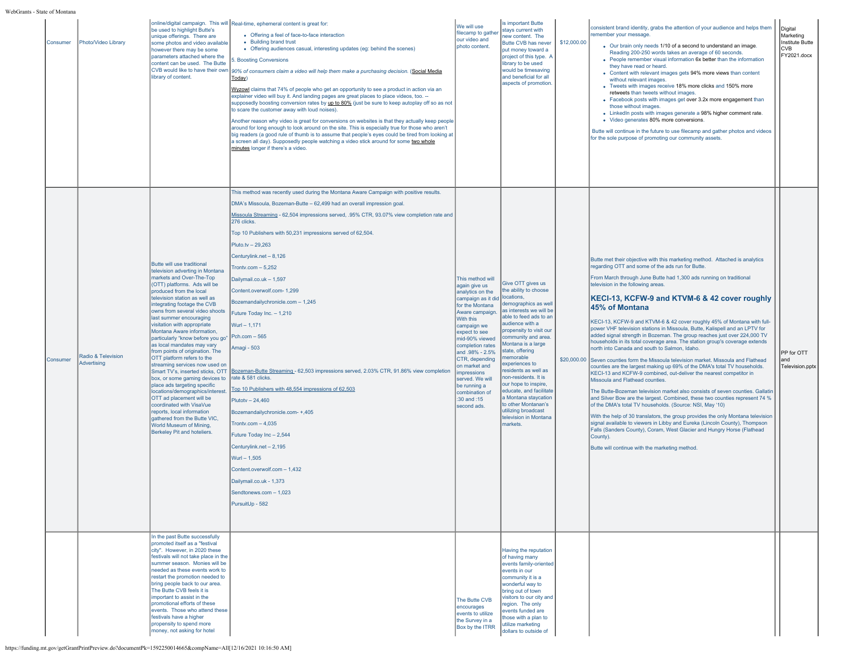| Consumer | Photo/Video Library               | be used to highlight Butte's<br>unique offerings. There are<br>some photos and video available<br>however there may be some<br>parameters attached where the<br>content can be used. The Butte<br>CVB would like to have their own<br>library of content.                                                                                                                                                                                                                                                                                                                                                                                                                                                                                                                                                                                                    | online/digital campaign. This will Real-time, ephemeral content is great for:<br>• Offering a feel of face-to-face interaction<br>• Building brand trust<br>• Offering audiences casual, interesting updates (eg: behind the scenes)<br><b>Boosting Conversions</b><br>90% of consumers claim a video will help them make a purchasing decision. (Social Media<br>Today)<br>Wyzowl claims that 74% of people who get an opportunity to see a product in action via an<br>explainer video will buy it. And landing pages are great places to place videos, too. --<br>supposedly boosting conversion rates by up to 80% (just be sure to keep autoplay off so as not<br>to scare the customer away with loud noises).<br>Another reason why video is great for conversions on websites is that they actually keep people<br>around for long enough to look around on the site. This is especially true for those who aren't<br>big readers (a good rule of thumb is to assume that people's eyes could be tired from looking at<br>a screen all day). Supposedly people watching a video stick around for some two whole<br>minutes longer if there's a video. | We will use<br>filecamp to gather<br>our video and<br>photo content.                                                                                                                                                                                                                                                                                         | is important Butte<br>stays current with<br>new content. The<br><b>Butte CVB has never</b><br>put money toward a<br>project of this type. A<br>library to be used<br>would be timesaving<br>and beneficial for all<br>aspects of promotion                                                                                                                                                                                                                                                      | \$12,000.00 | consistent brand identity, grabs the attention of your audience and helps them<br>remember your message.<br>• Our brain only needs 1/10 of a second to understand an image.<br>Reading 200-250 words takes an average of 60 seconds.<br>• People remember visual information 6x better than the information<br>they have read or heard.<br>• Content with relevant images gets 94% more views than content<br>without relevant images<br>• Tweets with images receive 18% more clicks and 150% more<br>retweets than tweets without images.<br>• Facebook posts with images get over 3.2x more engagement than<br>those without images.<br>• LinkedIn posts with images generate a 98% higher comment rate.<br>· Video generates 80% more conversions.<br>Butte will continue in the future to use filecamp and gather photos and videos<br>for the sole purpose of promoting our community assets.                                                                                                                                                                                                                                                                                                                                                                                                                                                                                                                                                                                                     | Digital<br>Marketing<br>Institute Butte<br><b>CVB</b><br>FY2021.docx |
|----------|-----------------------------------|--------------------------------------------------------------------------------------------------------------------------------------------------------------------------------------------------------------------------------------------------------------------------------------------------------------------------------------------------------------------------------------------------------------------------------------------------------------------------------------------------------------------------------------------------------------------------------------------------------------------------------------------------------------------------------------------------------------------------------------------------------------------------------------------------------------------------------------------------------------|---------------------------------------------------------------------------------------------------------------------------------------------------------------------------------------------------------------------------------------------------------------------------------------------------------------------------------------------------------------------------------------------------------------------------------------------------------------------------------------------------------------------------------------------------------------------------------------------------------------------------------------------------------------------------------------------------------------------------------------------------------------------------------------------------------------------------------------------------------------------------------------------------------------------------------------------------------------------------------------------------------------------------------------------------------------------------------------------------------------------------------------------------------------|--------------------------------------------------------------------------------------------------------------------------------------------------------------------------------------------------------------------------------------------------------------------------------------------------------------------------------------------------------------|-------------------------------------------------------------------------------------------------------------------------------------------------------------------------------------------------------------------------------------------------------------------------------------------------------------------------------------------------------------------------------------------------------------------------------------------------------------------------------------------------|-------------|---------------------------------------------------------------------------------------------------------------------------------------------------------------------------------------------------------------------------------------------------------------------------------------------------------------------------------------------------------------------------------------------------------------------------------------------------------------------------------------------------------------------------------------------------------------------------------------------------------------------------------------------------------------------------------------------------------------------------------------------------------------------------------------------------------------------------------------------------------------------------------------------------------------------------------------------------------------------------------------------------------------------------------------------------------------------------------------------------------------------------------------------------------------------------------------------------------------------------------------------------------------------------------------------------------------------------------------------------------------------------------------------------------------------------------------------------------------------------------------------------------|----------------------------------------------------------------------|
| Consumer | Radio & Television<br>Advertising | Butte will use traditional<br>television adverting in Montana<br>markets and Over-The-Top<br>(OTT) platforms. Ads will be<br>produced from the local<br>television station as well as<br>integrating footage the CVB<br>owns from several video shoots<br>last summer encouraging<br>visitation with appropriate<br>Montana Aware information,<br>particularly "know before you go" Pch.com - 565<br>as local mandates may vary<br>from points of origination. The<br>OTT platform refers to the<br>streaming services now used on<br>Smart TV's, inserted sticks, OTT<br>box, or some gaming devices to<br>place ads targeting specific<br>locations/demographics/interest.<br>OTT ad placement will be<br>coordinated with VisaVue<br>reports, local information<br>gathered from the Butte VIC,<br>World Museum of Mining,<br>Berkeley Pit and hoteliers. | This method was recently used during the Montana Aware Campaign with positive results.<br>DMA's Missoula, Bozeman-Butte - 62,499 had an overall impression goal.<br>Missoula Streaming - 62,504 impressions served, .95% CTR, 93.07% view completion rate and<br>276 clicks.<br>Top 10 Publishers with 50,231 impressions served of 62,504.<br>Pluto tv $-29.263$<br>Centurylink.net - 8,126<br>$Trontv.com - 5,252$<br>Dailymail.co.uk - 1,597<br>Content.overwolf.com- 1,299<br>Bozemandailychronicle.com - 1,245<br>Future Today Inc. - 1,210<br>Wurl - 1,171<br><b>Amagi - 503</b><br>Bozeman-Butte Streaming - 62,503 impressions served, 2.03% CTR, 91.86% view completion<br>rate & 581 clicks.<br>Top 10 Publishers with 48,554 impressions of 62,503<br>Plutotv - 24,460<br>Bozemandailychronicle.com- +,405<br>Trontv.com $-4,035$<br>Future Today Inc - 2,544<br>Centurylink.net - 2,195<br>$Wurl - 1.505$<br>Content.overwolf.com - 1,432<br>Dailymail.co.uk - 1,373<br>Sendtonews.com - 1,023<br>PursuitUp - 582                                                                                                                                 | This method will<br>again give us<br>analytics on the<br>campaign as it did<br>for the Montana<br>Aware campaign.<br>With this<br>campaign we<br>expect to see<br>mid-90% viewed<br>completion rates<br>and .98% - 2.5%<br>CTR, depending<br>on market and<br>impressions<br>served. We will<br>be running a<br>combination of<br>:30 and :15<br>second ads. | Give OTT gives us<br>the ability to choose<br>locations,<br>demographics as well<br>as interests we will be<br>able to feed ads to an<br>audience with a<br>propensity to visit our<br>community and area.<br>Montana is a large<br>state, offering<br>emorable<br>experiences to<br>residents as well as<br>non-residents. It is<br>our hope to inspire,<br>educate, and facilitate<br>a Montana staycation<br>to other Montanan's<br>utilizing broadcast<br>television in Montana<br>markets. |             | Butte met their objective with this marketing method. Attached is analytics<br>regarding OTT and some of the ads run for Butte.<br>From March through June Butte had 1,300 ads running on traditional<br>television in the following areas.<br>KECI-13, KCFW-9 and KTVM-6 & 42 cover roughly<br>45% of Montana<br>KECI-13, KCFW-9 and KTVM-6 & 42 cover roughly 45% of Montana with full-<br>power VHF television stations in Missoula, Butte, Kalispell and an LPTV for<br>added signal strength in Bozeman. The group reaches just over 224,000 TV<br>households in its total coverage area. The station group's coverage extends<br>north into Canada and south to Salmon, Idaho.<br>\$20,000.00 Seven counties form the Missoula television market. Missoula and Flathead<br>counties are the largest making up 69% of the DMA's total TV households.<br>KECI-13 and KCFW-9 combined, out-deliver the nearest competitor in<br>Missoula and Flathead counties.<br>The Butte-Bozeman television market also consists of seven counties. Gallatin<br>and Silver Bow are the largest. Combined, these two counties represent 74 %<br>of the DMA's total TV households. (Source: NSI, May '10)<br>With the help of 30 translators, the group provides the only Montana television<br>signal available to viewers in Libby and Eureka (Lincoln County), Thompson<br>Falls (Sanders County), Coram, West Glacier and Hungry Horse (Flathead<br>County).<br>Butte will continue with the marketing method. | PP for OTT<br>and<br>Television.pptx                                 |
|          |                                   | In the past Butte successfully<br>promoted itself as a "festival<br>city". However, in 2020 these<br>festivals will not take place in the<br>summer season. Monies will be<br>needed as these events work to<br>restart the promotion needed to<br>bring people back to our area.<br>The Butte CVB feels it is<br>important to assist in the<br>promotional efforts of these<br>events. Those who attend these<br>festivals have a higher<br>propensity to spend more<br>money, not asking for hotel                                                                                                                                                                                                                                                                                                                                                         |                                                                                                                                                                                                                                                                                                                                                                                                                                                                                                                                                                                                                                                                                                                                                                                                                                                                                                                                                                                                                                                                                                                                                               | The Butte CVB<br>encourages<br>events to utilize<br>the Survey in a<br>Box by the ITRR                                                                                                                                                                                                                                                                       | Having the reputation<br>of having many<br>events family-oriented<br>events in our<br>community it is a<br>wonderful way to<br>bring out of town<br>visitors to our city and<br>region. The only<br>events funded are<br>those with a plan to<br>utilize marketing<br>dollars to outside of                                                                                                                                                                                                     |             |                                                                                                                                                                                                                                                                                                                                                                                                                                                                                                                                                                                                                                                                                                                                                                                                                                                                                                                                                                                                                                                                                                                                                                                                                                                                                                                                                                                                                                                                                                         |                                                                      |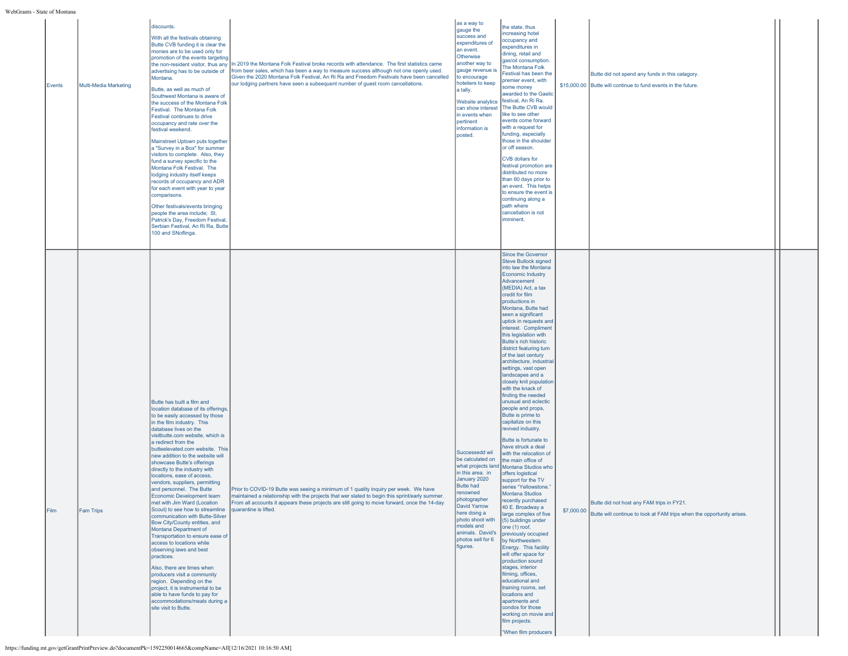| Events | Multi-Media Marketing | discounts.<br>With all the festivals obtaining<br>Butte CVB funding it is clear the<br>monies are to be used only for<br>promotion of the events targeting<br>the non-resident visitor, thus any<br>advertising has to be outside of<br>Montana.<br>Butte, as well as much of<br>Southwest Montana is aware of<br>the success of the Montana Folk<br>Festival. The Montana Folk<br>Festival continues to drive<br>occupancy and rate over the<br>festival weekend.<br>Mainstreet Uptown puts together<br>a "Survey in a Box" for summer<br>visitors to complete. Also, they<br>fund a survey specific to the<br>Montana Folk Festival. The<br>lodging industry itself keeps<br>records of occupancy and ADR<br>for each event with year to year<br>comparisons.<br>Other festivals/events bringing<br>people the area include; St.<br>Patrick's Day, Freedom Festival,<br>Serbian Festival, An Ri Ra, Butte<br>100 and SNoflinga.                                                     | In 2019 the Montana Folk Festival broke records with attendance. The first statistics came<br>from beer sales, which has been a way to measure success although not one openly used.<br>Given the 2020 Montana Folk Festival, An Ri Ra and Freedom Festivals have been cancelled<br>our lodging partners have seen a subsequent number of guest room cancellations. | as a way to<br>gauge the<br>success and<br>expenditures of<br>an event.<br>Otherwise<br>another way to<br>gauge revenue is<br>to encourage<br>hoteliers to keep<br>a tally.<br><b>Website analytics</b><br>can show interest<br>in events when<br>pertinent<br>information is<br>posted. | the state, thus<br>increasing hotel<br>occupancy and<br>expenditures in<br>dining, retail and<br>gas/oil consumption.<br>The Montana Folk<br>Festival has been the<br>premier event, with<br>some money<br>awarded to the Gaelic<br>festival, An Ri Ra.<br>The Butte CVB would<br>like to see other<br>events come forward<br>with a request for<br>funding, especially<br>those in the shoulder<br>or off season.<br><b>CVB</b> dollars for<br>festival promotion are<br>distributed no more<br>than 60 days prior to<br>an event. This helps<br>to ensure the event is<br>continuing along a<br>path where<br>cancellation is not<br>imminent.                                                                                                                                                                                                                                                                                                                                                                                                                                                                                                                                                                                                                                                          |            | Butte did not spend any funds in this catagory.<br>\$15,000.00 Butte will continue to fund events in the future.   |  |
|--------|-----------------------|---------------------------------------------------------------------------------------------------------------------------------------------------------------------------------------------------------------------------------------------------------------------------------------------------------------------------------------------------------------------------------------------------------------------------------------------------------------------------------------------------------------------------------------------------------------------------------------------------------------------------------------------------------------------------------------------------------------------------------------------------------------------------------------------------------------------------------------------------------------------------------------------------------------------------------------------------------------------------------------|---------------------------------------------------------------------------------------------------------------------------------------------------------------------------------------------------------------------------------------------------------------------------------------------------------------------------------------------------------------------|------------------------------------------------------------------------------------------------------------------------------------------------------------------------------------------------------------------------------------------------------------------------------------------|-----------------------------------------------------------------------------------------------------------------------------------------------------------------------------------------------------------------------------------------------------------------------------------------------------------------------------------------------------------------------------------------------------------------------------------------------------------------------------------------------------------------------------------------------------------------------------------------------------------------------------------------------------------------------------------------------------------------------------------------------------------------------------------------------------------------------------------------------------------------------------------------------------------------------------------------------------------------------------------------------------------------------------------------------------------------------------------------------------------------------------------------------------------------------------------------------------------------------------------------------------------------------------------------------------------|------------|--------------------------------------------------------------------------------------------------------------------|--|
| Film   | Fam Trips             | Butte has built a film and<br>location database of its offerings,<br>to be easily accessed by those<br>in the film industry. This<br>database lives on the<br>visitbutte.com website, which is<br>a redirect from the<br>butteelevated.com website. This<br>new addition to the website will<br>showcase Butte's offerings<br>directly to the industry with<br>locations, ease of access.<br>vendors, suppliers, permitting<br>and personnel. The Butte<br>Economic Development team<br>met with Jim Ward (Location<br>Scout) to see how to streamline<br>communication with Butte-Silver<br>Bow City/County entities, and<br>Montana Department of<br>Transportation to ensure ease of<br>access to locations while<br>observing laws and best<br>practices.<br>Also, there are times when<br>producers visit a community<br>region. Depending on the<br>project, it is instrumental to be<br>able to have funds to pay for<br>accommodations/meals during a<br>site visit to Butte. | Prior to COVID-19 Butte was seeing a minimum of 1 quality inquiry per week. We have<br>maintained a relationship with the projects that wer slated to begin this sprint/early summer.<br>From all accounts it appears these projects are still going to move forward, once the 14-day<br>quarantine is lifted.                                                      | Successedd wil<br>be calculated on<br>in this area. in<br>January 2020<br><b>Butte had</b><br>renowned<br>notographer<br><b>David Yarrow</b><br>here doing a<br>photo shoot with<br>models and<br>animals. David's<br>photos sell for 6<br>figures.                                      | Since the Governor<br><b>Steve Bullock signed</b><br>into law the Montana<br>Economic Industry<br>Advancement<br>(MEDIA) Act, a tax<br>credit for film<br>productions in<br>Montana, Butte had<br>seen a significant<br>uptick in requests and<br>interest. Compliment<br>this legislation with<br>Butte's rich historic<br>district featuring turn<br>of the last century<br>architecture, industrial<br>settings, vast open<br>landscapes and a<br>closely knit population<br>with the knack of<br>finding the needed<br>unusual and eclectic<br>people and props,<br>Butte is prime to<br>capitalize on this<br>revived industry.<br>Butte is fortunate to<br>have struck a deal<br>with the relocation of<br>the main office of<br>what projects land Montana Studios who<br>offers logistical<br>support for the TV<br>series "Yellowstone."<br>Montana Studios<br>ecently purchased<br>40 E. Broadway a<br>large complex of five<br>(5) buildings under<br>one (1) roof,<br>previously occupied<br>by Northwestern<br>Energy. This facility<br>will offer space for<br>production sound<br>stages, interior<br>filming, offices,<br>educational and<br>training rooms, set<br>locations and<br>apartments and<br>condos for those<br>working on movie and<br>film projects.<br>"When film producers | \$7,000.00 | Butte did not host any FAM trips in FY21.<br>Butte will continue to look at FAM trips when the opportunity arises. |  |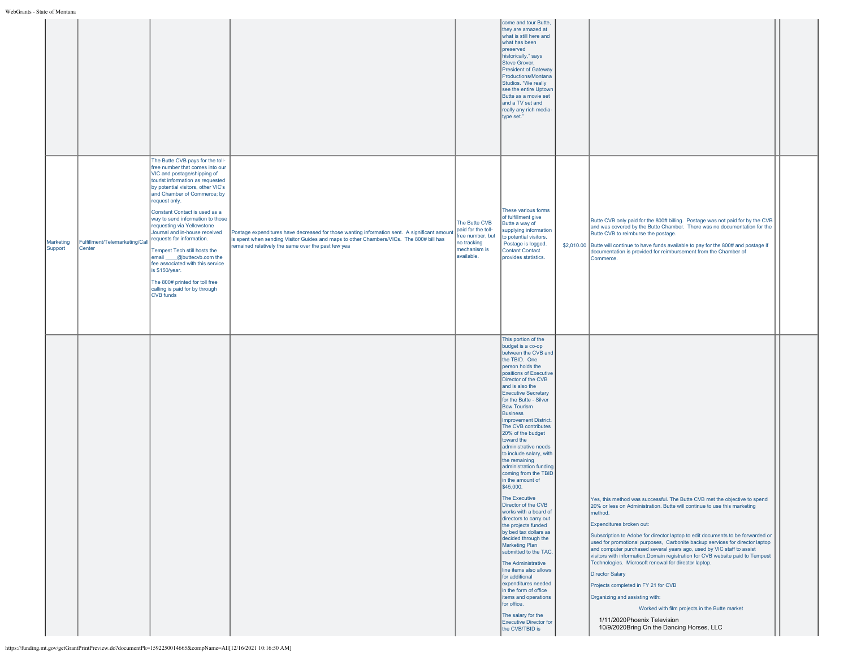|                      |                                          |                                                                                                                                                                                                                                                                                                                                                                                                                                                                                                                                                                                                            |                                                                                                                                                                                                                                               |                                                                                                      | come and tour Butte,<br>they are amazed at<br>what is still here and<br>what has been<br>preserved<br>historically," says<br>Steve Grover,<br>President of Gateway<br>Productions/Montana<br>Studios. "We really<br>see the entire Uptowr<br>Butte as a movie set<br>and a TV set and<br>really any rich media-<br>type set."                                                                                                                                                                                                                                                                                                                                                                                                                                                                                                                                                                                                                                       |                                                                                                                                                                                                                                                                                                                                                                                                                                                                                                                                                                                                                                                                                                                                                                                                                   |  |
|----------------------|------------------------------------------|------------------------------------------------------------------------------------------------------------------------------------------------------------------------------------------------------------------------------------------------------------------------------------------------------------------------------------------------------------------------------------------------------------------------------------------------------------------------------------------------------------------------------------------------------------------------------------------------------------|-----------------------------------------------------------------------------------------------------------------------------------------------------------------------------------------------------------------------------------------------|------------------------------------------------------------------------------------------------------|---------------------------------------------------------------------------------------------------------------------------------------------------------------------------------------------------------------------------------------------------------------------------------------------------------------------------------------------------------------------------------------------------------------------------------------------------------------------------------------------------------------------------------------------------------------------------------------------------------------------------------------------------------------------------------------------------------------------------------------------------------------------------------------------------------------------------------------------------------------------------------------------------------------------------------------------------------------------|-------------------------------------------------------------------------------------------------------------------------------------------------------------------------------------------------------------------------------------------------------------------------------------------------------------------------------------------------------------------------------------------------------------------------------------------------------------------------------------------------------------------------------------------------------------------------------------------------------------------------------------------------------------------------------------------------------------------------------------------------------------------------------------------------------------------|--|
| Marketing<br>Support | Fulfillment/Telemarketing/Call<br>Center | The Butte CVB pays for the toll-<br>free number that comes into our<br>VIC and postage/shipping of<br>tourist information as requested<br>by potential visitors, other VIC's<br>and Chamber of Commerce; by<br>request only.<br>Constant Contact is used as a<br>way to send information to those<br>requesting via Yellowstone<br>Journal and in-house received<br>requests for information.<br>Tempest Tech still hosts the<br>email ____@buttecvb.com the<br>fee associated with this service<br>is \$150/year.<br>The 800# printed for toll free<br>calling is paid for by through<br><b>CVB</b> funds | Postage expenditures have decreased for those wanting information sent. A significant amount<br>is spent when sending Visitor Guides and maps to other Chambers/VICs. The 800# bill has<br>remained relatively the same over the past few yea | The Butte CVB<br>paid for the toll-<br>free number, but<br>no tracking<br>mechanism is<br>available. | These various forms<br>of fulfillment give<br>Butte a way of<br>supplying information<br>to potential visitors.<br>Postage is logged.<br>Contant Contact<br>provides statistics.                                                                                                                                                                                                                                                                                                                                                                                                                                                                                                                                                                                                                                                                                                                                                                                    | Butte CVB only paid for the 800# billing. Postage was not paid for by the CVB<br>and was covered by the Butte Chamber. There was no documentation for the<br>Butte CVB to reimburse the postage.<br>\$2,010.00 Butte will continue to have funds available to pay for the 800# and postage if<br>documentation is provided for reimbursement from the Chamber of<br>Commerce.                                                                                                                                                                                                                                                                                                                                                                                                                                     |  |
|                      |                                          |                                                                                                                                                                                                                                                                                                                                                                                                                                                                                                                                                                                                            |                                                                                                                                                                                                                                               |                                                                                                      | This portion of the<br>budget is a co-op<br>between the CVB and<br>the TBID. One<br>person holds the<br>positions of Executive<br>Director of the CVB<br>and is also the<br><b>Executive Secretary</b><br>for the Butte - Silver<br><b>Bow Tourism</b><br><b>Business</b><br>Improvement District.<br>The CVB contributes<br>20% of the budget<br>toward the<br>administrative needs<br>to include salary, with<br>the remaining<br>administration funding<br>coming from the TBID<br>in the amount of<br>\$45,000.<br>The Executive<br>Director of the CVB<br>works with a board of<br>directors to carry out<br>the projects funded<br>by bed tax dollars as<br>decided through the<br>Marketing Plan<br>submitted to the TAC.<br>The Administrative<br>line items also allows<br>for additional<br>expenditures needed<br>in the form of office<br>items and operations<br>for office.<br>The salary for the<br><b>Executive Director for</b><br>the CVB/TBID is | Yes, this method was successful. The Butte CVB met the objective to spend<br>20% or less on Administration. Butte will continue to use this marketing<br>method.<br>Expenditures broken out:<br>Subscription to Adobe for director laptop to edit documents to be forwarded or<br>used for promotional purposes, Carbonite backup services for director laptop<br>and computer purchased several years ago, used by VIC staff to assist<br>visitors with information. Domain registration for CVB website paid to Tempest<br>Technologies. Microsoft renewal for director laptop.<br><b>Director Salary</b><br>Projects completed in FY 21 for CVB<br>Organizing and assisting with:<br>Worked with film projects in the Butte market<br>1/11/2020Phoenix Television<br>10/9/2020Bring On the Dancing Horses, LLC |  |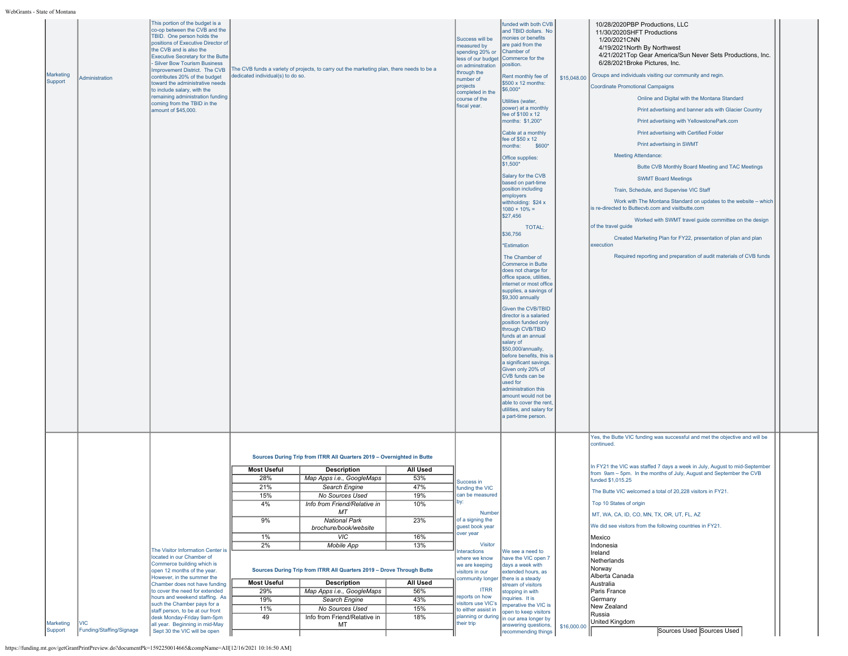| Marketing<br>Support | Administration                         | This portion of the budget is a<br>co-op between the CVB and the<br>TBID. One person holds the<br>positions of Executive Director of<br>the CVB and is also the<br><b>Executive Secretary for the Butte</b><br>Silver Bow Tourism Business<br>Improvement District. The CVB<br>contributes 20% of the budget<br>toward the administrative needs<br>to include salary, with the<br>remaining administration funding<br>coming from the TBID in the<br>amount of \$45,000. | dedicated individual(s) to do so. | The CVB funds a variety of projects, to carry out the marketing plan, there needs to be a                                 |                        | Success will be<br>measured by<br>spending 20% or<br>ess of our budget<br>on adminstration<br>through the<br>number of<br>projects<br>completed in the<br>course of the<br>fiscal year. | funded with both CVB<br>and TBID dollars. No<br>monies or benefits<br>are paid from the<br>Chamber of<br>Commerce for the<br>position.<br>Rent monthly fee of<br>\$500 x 12 months:<br>\$6,000*<br>Utilities (water,<br>power) at a monthly<br>fee of \$100 x 12<br>months: \$1,200*<br>Cable at a monthly<br>fee of \$50 x 12<br>months:<br>\$600*<br>Office supplies:<br>\$1,500*<br>Salary for the CVB<br>based on part-time<br>position including<br>employers<br>withholding: \$24 x<br>$1080 + 10\% =$<br>\$27,456<br><b>TOTAL:</b><br>\$36,756<br>*Estimation<br>The Chamber of<br>Commerce in Butte<br>does not charge for<br>office space, utilities,<br>internet or most office<br>supplies, a savings of<br>\$9,300 annually<br>Given the CVB/TBID<br>director is a salaried<br>position funded only<br>through CVB/TBID<br>funds at an annual<br>salary of<br>\$50,000/annually,<br>before benefits, this is<br>a significant savings.<br>Given only 20% of<br>CVB funds can be<br>used for<br>administration this<br>amount would not be<br>able to cover the rent,<br>utilities, and salary for<br>a part-time person. | \$15,048.00 | 10/28/2020PBP Productions, LLC<br>11/30/2020SHFT Productions<br>1/20/2021CNN<br>4/19/2021North By Northwest<br>4/21/2021Top Gear America/Sun Never Sets Productions, Inc.<br>6/28/2021Broke Pictures, Inc.<br>Groups and individuals visiting our community and regin.<br>Coordinate Promotional Campaigns<br>Online and Digital with the Montana Standard<br>Print advertising and banner ads with Glacier Country<br>Print advertising with YellowstonePark.com<br>Print advertising with Certified Folder<br>Print advertising in SWMT<br><b>Meeting Attendance:</b><br>Butte CVB Monthly Board Meeting and TAC Meetings<br><b>SWMT Board Meetings</b><br>Train, Schedule, and Supervise VIC Staff<br>Work with The Montana Standard on updates to the website - which<br>is re-directed to Buttecvb.com and visitbutte.com<br>Worked with SWMT travel guide committee on the design<br>of the travel guide<br>Created Marketing Plan for FY22, presentation of plan and plan<br>execution<br>Required reporting and preparation of audit materials of CVB funds |
|----------------------|----------------------------------------|--------------------------------------------------------------------------------------------------------------------------------------------------------------------------------------------------------------------------------------------------------------------------------------------------------------------------------------------------------------------------------------------------------------------------------------------------------------------------|-----------------------------------|---------------------------------------------------------------------------------------------------------------------------|------------------------|-----------------------------------------------------------------------------------------------------------------------------------------------------------------------------------------|--------------------------------------------------------------------------------------------------------------------------------------------------------------------------------------------------------------------------------------------------------------------------------------------------------------------------------------------------------------------------------------------------------------------------------------------------------------------------------------------------------------------------------------------------------------------------------------------------------------------------------------------------------------------------------------------------------------------------------------------------------------------------------------------------------------------------------------------------------------------------------------------------------------------------------------------------------------------------------------------------------------------------------------------------------------------------------------------------------------------------------------|-------------|---------------------------------------------------------------------------------------------------------------------------------------------------------------------------------------------------------------------------------------------------------------------------------------------------------------------------------------------------------------------------------------------------------------------------------------------------------------------------------------------------------------------------------------------------------------------------------------------------------------------------------------------------------------------------------------------------------------------------------------------------------------------------------------------------------------------------------------------------------------------------------------------------------------------------------------------------------------------------------------------------------------------------------------------------------------------|
|                      |                                        |                                                                                                                                                                                                                                                                                                                                                                                                                                                                          |                                   |                                                                                                                           |                        |                                                                                                                                                                                         |                                                                                                                                                                                                                                                                                                                                                                                                                                                                                                                                                                                                                                                                                                                                                                                                                                                                                                                                                                                                                                                                                                                                      |             | Yes, the Butte VIC funding was successful and met the objective and will be                                                                                                                                                                                                                                                                                                                                                                                                                                                                                                                                                                                                                                                                                                                                                                                                                                                                                                                                                                                         |
|                      |                                        |                                                                                                                                                                                                                                                                                                                                                                                                                                                                          | <b>Most Useful</b><br>28%         | Sources During Trip from ITRR All Quarters 2019 - Overnighted in Butte<br><b>Description</b><br>Map Apps i.e., GoogleMaps | <b>All Used</b><br>53% |                                                                                                                                                                                         |                                                                                                                                                                                                                                                                                                                                                                                                                                                                                                                                                                                                                                                                                                                                                                                                                                                                                                                                                                                                                                                                                                                                      |             | continued.<br>In FY21 the VIC was staffed 7 days a week in July, August to mid-September<br>from 9am - 5pm. In the months of July, August and September the CVB<br>funded \$1,015.25                                                                                                                                                                                                                                                                                                                                                                                                                                                                                                                                                                                                                                                                                                                                                                                                                                                                                |
|                      |                                        |                                                                                                                                                                                                                                                                                                                                                                                                                                                                          | 21%                               | Search Engine                                                                                                             | 47%                    | Success in<br>funding the VIC                                                                                                                                                           |                                                                                                                                                                                                                                                                                                                                                                                                                                                                                                                                                                                                                                                                                                                                                                                                                                                                                                                                                                                                                                                                                                                                      |             |                                                                                                                                                                                                                                                                                                                                                                                                                                                                                                                                                                                                                                                                                                                                                                                                                                                                                                                                                                                                                                                                     |
|                      |                                        |                                                                                                                                                                                                                                                                                                                                                                                                                                                                          | 15%                               | No Sources Used                                                                                                           | 19%                    | can be measured<br>by:                                                                                                                                                                  |                                                                                                                                                                                                                                                                                                                                                                                                                                                                                                                                                                                                                                                                                                                                                                                                                                                                                                                                                                                                                                                                                                                                      |             | The Butte VIC welcomed a total of 20,228 visitors in FY21.                                                                                                                                                                                                                                                                                                                                                                                                                                                                                                                                                                                                                                                                                                                                                                                                                                                                                                                                                                                                          |
|                      |                                        |                                                                                                                                                                                                                                                                                                                                                                                                                                                                          | 4%                                | Info from Friend/Relative in<br>МT                                                                                        | 10%                    | Number                                                                                                                                                                                  |                                                                                                                                                                                                                                                                                                                                                                                                                                                                                                                                                                                                                                                                                                                                                                                                                                                                                                                                                                                                                                                                                                                                      |             | Top 10 States of origin                                                                                                                                                                                                                                                                                                                                                                                                                                                                                                                                                                                                                                                                                                                                                                                                                                                                                                                                                                                                                                             |
|                      |                                        |                                                                                                                                                                                                                                                                                                                                                                                                                                                                          | 9%                                | <b>National Park</b>                                                                                                      | 23%                    | of a signing the                                                                                                                                                                        |                                                                                                                                                                                                                                                                                                                                                                                                                                                                                                                                                                                                                                                                                                                                                                                                                                                                                                                                                                                                                                                                                                                                      |             | MT, WA, CA, ID, CO, MN, TX, OR, UT, FL, AZ                                                                                                                                                                                                                                                                                                                                                                                                                                                                                                                                                                                                                                                                                                                                                                                                                                                                                                                                                                                                                          |
|                      |                                        |                                                                                                                                                                                                                                                                                                                                                                                                                                                                          |                                   | brochure/book/website                                                                                                     |                        | guest book year<br>over year                                                                                                                                                            |                                                                                                                                                                                                                                                                                                                                                                                                                                                                                                                                                                                                                                                                                                                                                                                                                                                                                                                                                                                                                                                                                                                                      |             | We did see visitors from the following countries in FY21.                                                                                                                                                                                                                                                                                                                                                                                                                                                                                                                                                                                                                                                                                                                                                                                                                                                                                                                                                                                                           |
|                      |                                        |                                                                                                                                                                                                                                                                                                                                                                                                                                                                          | 1%<br>2%                          | VIC                                                                                                                       | 16%<br>13%             | Visitor                                                                                                                                                                                 |                                                                                                                                                                                                                                                                                                                                                                                                                                                                                                                                                                                                                                                                                                                                                                                                                                                                                                                                                                                                                                                                                                                                      |             | Mexico<br>Indonesia                                                                                                                                                                                                                                                                                                                                                                                                                                                                                                                                                                                                                                                                                                                                                                                                                                                                                                                                                                                                                                                 |
|                      |                                        | The Visitor Information Center is                                                                                                                                                                                                                                                                                                                                                                                                                                        |                                   | Mobile App                                                                                                                |                        | nteractions                                                                                                                                                                             | We see a need to                                                                                                                                                                                                                                                                                                                                                                                                                                                                                                                                                                                                                                                                                                                                                                                                                                                                                                                                                                                                                                                                                                                     |             | Ireland                                                                                                                                                                                                                                                                                                                                                                                                                                                                                                                                                                                                                                                                                                                                                                                                                                                                                                                                                                                                                                                             |
|                      |                                        | located in our Chamber of<br>Commerce building which is                                                                                                                                                                                                                                                                                                                                                                                                                  |                                   |                                                                                                                           |                        | where we know<br>we are keeping                                                                                                                                                         | have the VIC open 7<br>days a week with                                                                                                                                                                                                                                                                                                                                                                                                                                                                                                                                                                                                                                                                                                                                                                                                                                                                                                                                                                                                                                                                                              |             | Netherlands                                                                                                                                                                                                                                                                                                                                                                                                                                                                                                                                                                                                                                                                                                                                                                                                                                                                                                                                                                                                                                                         |
|                      |                                        | open 12 months of the year.                                                                                                                                                                                                                                                                                                                                                                                                                                              |                                   | Sources During Trip from ITRR All Quarters 2019 - Drove Through Butte                                                     |                        | visitors in our                                                                                                                                                                         | extended hours, as                                                                                                                                                                                                                                                                                                                                                                                                                                                                                                                                                                                                                                                                                                                                                                                                                                                                                                                                                                                                                                                                                                                   |             | Norway<br>Alberta Canada                                                                                                                                                                                                                                                                                                                                                                                                                                                                                                                                                                                                                                                                                                                                                                                                                                                                                                                                                                                                                                            |
|                      |                                        | However, in the summer the<br>Chamber does not have funding                                                                                                                                                                                                                                                                                                                                                                                                              | <b>Most Useful</b>                | <b>Description</b>                                                                                                        | <b>All Used</b>        | community longer                                                                                                                                                                        | there is a steady<br>stream of visitors                                                                                                                                                                                                                                                                                                                                                                                                                                                                                                                                                                                                                                                                                                                                                                                                                                                                                                                                                                                                                                                                                              |             | Australia                                                                                                                                                                                                                                                                                                                                                                                                                                                                                                                                                                                                                                                                                                                                                                                                                                                                                                                                                                                                                                                           |
|                      |                                        | to cover the need for extended                                                                                                                                                                                                                                                                                                                                                                                                                                           | 29%                               | Map Apps i.e., GoogleMaps                                                                                                 | 56%                    | <b>ITRR</b>                                                                                                                                                                             | stopping in with                                                                                                                                                                                                                                                                                                                                                                                                                                                                                                                                                                                                                                                                                                                                                                                                                                                                                                                                                                                                                                                                                                                     |             | Paris France                                                                                                                                                                                                                                                                                                                                                                                                                                                                                                                                                                                                                                                                                                                                                                                                                                                                                                                                                                                                                                                        |
|                      |                                        | hours and weekend staffing. As<br>such the Chamber pays for a                                                                                                                                                                                                                                                                                                                                                                                                            | 19%                               | Search Engine                                                                                                             | 43%                    | reports on how<br>visitors use VIC's                                                                                                                                                    | nquiries. It is<br>imperative the VIC is                                                                                                                                                                                                                                                                                                                                                                                                                                                                                                                                                                                                                                                                                                                                                                                                                                                                                                                                                                                                                                                                                             |             | Germany                                                                                                                                                                                                                                                                                                                                                                                                                                                                                                                                                                                                                                                                                                                                                                                                                                                                                                                                                                                                                                                             |
|                      |                                        | staff person, to be at our front                                                                                                                                                                                                                                                                                                                                                                                                                                         | 11%                               | No Sources Used                                                                                                           | 15%                    | to either assist in                                                                                                                                                                     | open to keep visitors                                                                                                                                                                                                                                                                                                                                                                                                                                                                                                                                                                                                                                                                                                                                                                                                                                                                                                                                                                                                                                                                                                                |             | New Zealand<br>Russia                                                                                                                                                                                                                                                                                                                                                                                                                                                                                                                                                                                                                                                                                                                                                                                                                                                                                                                                                                                                                                               |
| Marketing<br>Support | <b>VIC</b><br>Funding/Staffing/Signage | desk Monday-Friday 9am-5pm<br>all year. Beginning in mid-May                                                                                                                                                                                                                                                                                                                                                                                                             | 49                                | Info from Friend/Relative in<br>МT                                                                                        | 18%                    | their trip                                                                                                                                                                              | planning or during in our area longer by<br>answering questions,                                                                                                                                                                                                                                                                                                                                                                                                                                                                                                                                                                                                                                                                                                                                                                                                                                                                                                                                                                                                                                                                     | \$16,000.00 | United Kingdom                                                                                                                                                                                                                                                                                                                                                                                                                                                                                                                                                                                                                                                                                                                                                                                                                                                                                                                                                                                                                                                      |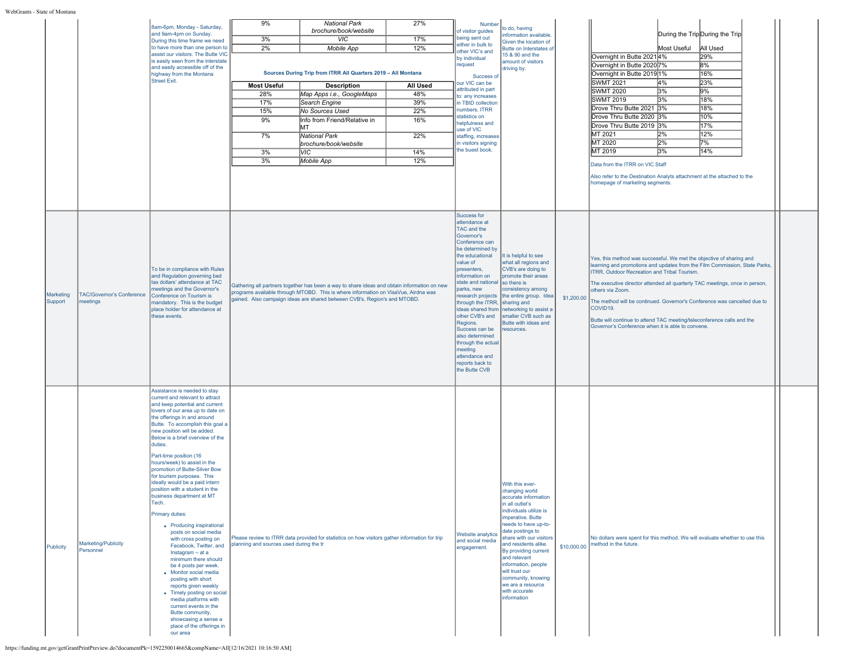|                      |                                              | 8am-6pm, Monday - Saturday,<br>and 9am-4pm on Sunday.<br>During this time frame we need<br>to have more than one person to<br>assist our visitors. The Butte VIC<br>is easily seen from the interstate<br>and easily accessible off of the<br>highway from the Montana<br><b>Street Exit.</b>                                                                                                                                                                                                                                                                                                                                                                                                                                                                                                                                                                                                                                                                        | 9%<br>3%<br>2%<br><b>Most Useful</b><br>28%<br>17%<br>15%<br>9%<br>7%<br>3%<br>3% | <b>National Park</b><br>brochure/book/website<br>VIC<br>Mobile App<br>Sources During Trip from ITRR All Quarters 2019 - All Montana<br><b>Description</b><br>Map Apps i.e., GoogleMaps<br>Search Engine<br>No Sources Used<br>Info from Friend/Relative in<br>MТ<br>National Park<br>brochure/book/website<br> VIC<br>Mobile App | 27%<br>17%<br>12%<br>All Used<br>48%<br>39%<br>22%<br>16%<br>22%<br>14%<br>12% | Number<br>of visitor guides<br>being sent out<br>either in bulk to<br>other VIC's and<br>by individual<br>request<br>Success of<br>our VIC can be<br>attributed in part<br>to: any increases<br>in TBID collection<br>numbers, ITRR<br>statistics on<br>helpfulness and<br>use of VIC<br>staffing, increases<br>in visitors signing<br>the buest book.                                                                       | o do, having<br><b>nformation</b> available<br>Given the location of<br>Butte on Interstates of<br>15 & 90 and the<br>amount of visitors<br>driving by.                                                                                                                                                                                                                                |             | During the TripDuring the Trip<br>Most Useful<br>All Used<br>Overnight in Butte 2021 4%<br>29%<br>Overnight in Butte 2020 7%<br>8%<br>16%<br>Overnight in Butte 2019 1%<br><b>SWMT 2021</b><br>23%<br>4%<br><b>SWMT 2020</b><br>3%<br>9%<br>18%<br><b>SWMT 2019</b><br>3%<br>Drove Thru Butte 2021 3%<br>18%<br>Drove Thru Butte 2020 3%<br>10%<br>17%<br>Drove Thru Butte 2019 3%<br>12%<br>MT 2021<br>2%<br>MT 2020<br>2%<br>7%<br>14%<br>MT 2019<br>3%<br>Data from the ITRR on VIC Staff<br>Also refer to the Destination Analyts attachment at the attached to the<br>homepage of marketing segments. |
|----------------------|----------------------------------------------|----------------------------------------------------------------------------------------------------------------------------------------------------------------------------------------------------------------------------------------------------------------------------------------------------------------------------------------------------------------------------------------------------------------------------------------------------------------------------------------------------------------------------------------------------------------------------------------------------------------------------------------------------------------------------------------------------------------------------------------------------------------------------------------------------------------------------------------------------------------------------------------------------------------------------------------------------------------------|-----------------------------------------------------------------------------------|----------------------------------------------------------------------------------------------------------------------------------------------------------------------------------------------------------------------------------------------------------------------------------------------------------------------------------|--------------------------------------------------------------------------------|------------------------------------------------------------------------------------------------------------------------------------------------------------------------------------------------------------------------------------------------------------------------------------------------------------------------------------------------------------------------------------------------------------------------------|----------------------------------------------------------------------------------------------------------------------------------------------------------------------------------------------------------------------------------------------------------------------------------------------------------------------------------------------------------------------------------------|-------------|------------------------------------------------------------------------------------------------------------------------------------------------------------------------------------------------------------------------------------------------------------------------------------------------------------------------------------------------------------------------------------------------------------------------------------------------------------------------------------------------------------------------------------------------------------------------------------------------------------|
| Marketing<br>Support | <b>TAC/Governor's Conference</b><br>meetings | To be in compliance with Rules<br>and Regulation governing bed<br>tax dollars' attendance at TAC<br>meetings and the Governor's<br>Conference on Tourism is<br>mandatory. This is the budget<br>place holder for attendance at<br>these events.                                                                                                                                                                                                                                                                                                                                                                                                                                                                                                                                                                                                                                                                                                                      |                                                                                   | Gathering all partners together has been a way to share ideas and obtain information on new<br>programs available through MTOBD. This is where information on VisaVue, Airdna was<br>gained. Also campaign ideas are shared between CVB's, Region's and MTOBD.                                                                   |                                                                                | Success for<br>attendance at<br>TAC and the<br>Governor's<br>Conference can<br>be determined by<br>the educational<br>value of<br>presenters,<br>information on<br>state and national<br>parks, new<br>research projects<br>through the ITRR,<br>ideas shared from<br>other CVB's and<br>Regions.<br>Success can be<br>also determined<br>through the actua<br>meeting<br>attendance and<br>reports back to<br>the Butte CVB | t is helpful to see<br>what all regions and<br>CVB's are doing to<br>promote their areas<br>so there is<br>consistency among<br>the entire group. Idea<br>sharing and<br>etworking to assist a<br>maller CVB such as<br>Butte with ideas and<br>esources.                                                                                                                              | \$1,200.00  | Yes, this method was successful. We met the objective of sharing and<br>learning and promotions and updates from the Film Commission, State Parks,<br>ITRR, Outdoor Recreation and Tribal Tourism.<br>The executive director attended all quarterly TAC meetings, once in person,<br>others via Zoom.<br>The method will be continued. Governor's Conference was cancelled due to<br>COVID19.<br>Butte will continue to attend TAC meeting/teleconference calls and the<br>Governor's Conference when it is able to convene.                                                                               |
| Publicity            | Marketing/Publicity<br>Personnel             | Assistance is needed to stay<br>current and relevant to attract<br>and keep potential and current<br>lovers of our area up to date on<br>the offerings in and around<br>Butte. To accomplish this goal a<br>new position will be added.<br>Below is a brief overview of the<br>duties.<br>Part-time position (16<br>hours/week) to assist in the<br>promotion of Butte-Silver Bow<br>for tourism purposes. This<br>ideally would be a paid intern<br>position with a student in the<br>usiness department at MT<br>Tech.<br>Primary duties:<br>• Producing inspirational<br>posts on social media<br>with cross posting on<br>Facebook, Twitter, and<br>Instagram - at a<br>minimum there should<br>be 4 posts per week.<br>• Monitor social media<br>posting with short<br>reports given weekly<br>• Timely posting on social<br>media platforms with<br>current events in the<br>Butte community,<br>showcasing a sense a<br>place of the offerings in<br>our area | planning and sources used during the tr                                           | Please review to ITRR data provided for statistics on how visitors gather information for trip                                                                                                                                                                                                                                   |                                                                                | Website analytics<br>and social media<br>engagement.                                                                                                                                                                                                                                                                                                                                                                         | With this ever-<br>changing world<br>accurate information<br>in all outlet's<br>individuals utilize is<br>imperative. Butte<br>needs to have up-to-<br>date postings to<br>share with our visitors<br>and residents alike.<br>By providing current<br>and relevant<br>information, people<br>will trust our<br>community, knowing<br>we are a resource<br>with accurate<br>information | \$10,000.00 | No dollars were spent for this method. We will evaluate whether to use this<br>method in the future.                                                                                                                                                                                                                                                                                                                                                                                                                                                                                                       |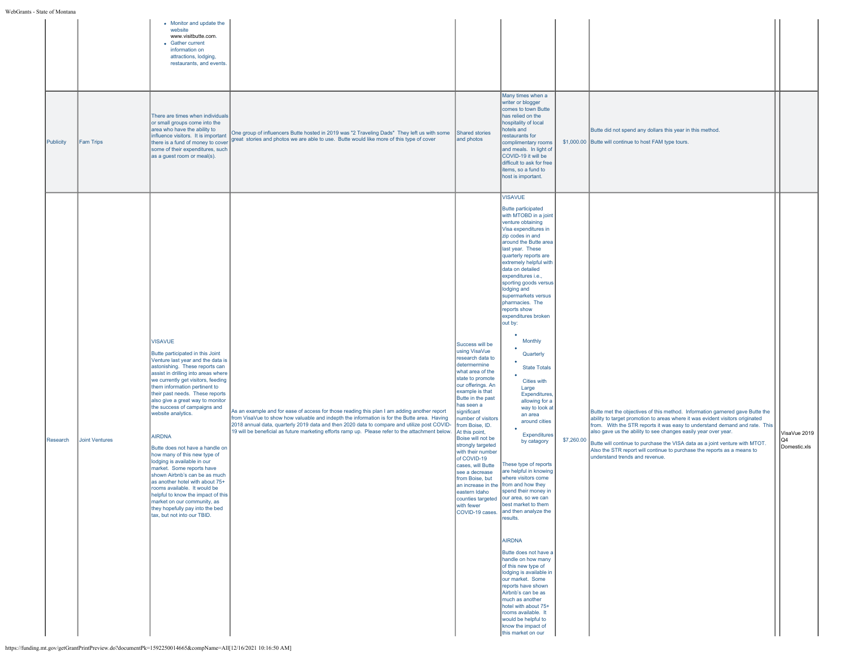|           |                       | • Monitor and update the<br>website<br>www.visitbutte.com.<br>• Gather current<br>information on<br>attractions, lodging,<br>restaurants, and events.<br>There are times when individuals                                                                                                                                                                                                                                                                                                                                                                                                                                                                                                                                                                       |                                                                                                                                                                                                                                                                                                                                                                                               |                                                                                                                                                                                                                                                                                                                                                                                                                                                            | Many times when a<br>writer or blogger<br>comes to town Butte<br>has relied on the                                                                                                                                                                                                                                                                                                                                                                                                                                                                                                                                                                                                                                                                                                                                                                                                                                                                                                                                                                                                                                                                                                |            |                                                                                                                                                                                                                                                                                                                                                                                                                                                                                                           |                                     |
|-----------|-----------------------|-----------------------------------------------------------------------------------------------------------------------------------------------------------------------------------------------------------------------------------------------------------------------------------------------------------------------------------------------------------------------------------------------------------------------------------------------------------------------------------------------------------------------------------------------------------------------------------------------------------------------------------------------------------------------------------------------------------------------------------------------------------------|-----------------------------------------------------------------------------------------------------------------------------------------------------------------------------------------------------------------------------------------------------------------------------------------------------------------------------------------------------------------------------------------------|------------------------------------------------------------------------------------------------------------------------------------------------------------------------------------------------------------------------------------------------------------------------------------------------------------------------------------------------------------------------------------------------------------------------------------------------------------|-----------------------------------------------------------------------------------------------------------------------------------------------------------------------------------------------------------------------------------------------------------------------------------------------------------------------------------------------------------------------------------------------------------------------------------------------------------------------------------------------------------------------------------------------------------------------------------------------------------------------------------------------------------------------------------------------------------------------------------------------------------------------------------------------------------------------------------------------------------------------------------------------------------------------------------------------------------------------------------------------------------------------------------------------------------------------------------------------------------------------------------------------------------------------------------|------------|-----------------------------------------------------------------------------------------------------------------------------------------------------------------------------------------------------------------------------------------------------------------------------------------------------------------------------------------------------------------------------------------------------------------------------------------------------------------------------------------------------------|-------------------------------------|
| Publicity | <b>Fam Trips</b>      | or small groups come into the<br>area who have the ability to<br>influence visitors. It is important<br>there is a fund of money to cover<br>some of their expenditures, such<br>as a guest room or meal(s).                                                                                                                                                                                                                                                                                                                                                                                                                                                                                                                                                    | One group of influencers Butte hosted in 2019 was "2 Traveling Dads" They left us with some Shared stories<br>great stories and photos we are able to use. Butte would like more of this type of cover                                                                                                                                                                                        | and photos                                                                                                                                                                                                                                                                                                                                                                                                                                                 | hospitality of local<br>hotels and<br>restaurants for<br>complimentary rooms<br>and meals. In light of<br>COVID-19 it will be<br>difficult to ask for free<br>items, so a fund to<br>host is important.                                                                                                                                                                                                                                                                                                                                                                                                                                                                                                                                                                                                                                                                                                                                                                                                                                                                                                                                                                           |            | Butte did not spend any dollars this year in this method.<br>\$1,000.00 Butte will continue to host FAM type tours.                                                                                                                                                                                                                                                                                                                                                                                       |                                     |
| Research  | <b>Joint Ventures</b> | <b>VISAVUE</b><br>Butte participated in this Joint<br>Venture last year and the data is<br>astonishing. These reports can<br>assist in drilling into areas where<br>we currently get visitors, feeding<br>them information pertinent to<br>their past needs. These reports<br>also give a great way to monitor<br>the success of campaigns and<br>website analytics.<br><b>AIRDNA</b><br>Butte does not have a handle on<br>how many of this new type of<br>lodging is available in our<br>market. Some reports have<br>shown Airbnb's can be as much<br>as another hotel with about 75+<br>rooms available. It would be<br>helpful to know the impact of this<br>market on our community, as<br>they hopefully pay into the bed<br>tax, but not into our TBID. | As an example and for ease of access for those reading this plan I am adding another report<br>from VisaVue to show how valuable and indepth the information is for the Butte area. Having<br>2018 annual data, quarterly 2019 data and then 2020 data to compare and utilize post COVID-<br>19 will be beneficial as future marketing efforts ramp up. Please refer to the attachment below. | Success will be<br>using VisaVue<br>research data to<br>determermine<br>what area of the<br>state to promote<br>our offerings. An<br>example is that<br>Butte in the past<br>has seen a<br>significant<br>number of visitors<br>rom Boise, ID.<br>At this point,<br>Boise will not be<br>strongly targeted<br>with their number<br>of COVID-19<br>cases, will Butte<br>see a decrease<br>from Boise, but<br>eastern Idaho<br>with fewer<br>COVID-19 cases. | <b>VISAVUE</b><br><b>Butte participated</b><br>with MTOBD in a joint<br>venture obtaining<br>Visa expenditures in<br>zip codes in and<br>around the Butte area<br>last year. These<br>quarterly reports are<br>extremely helpful with<br>data on detailed<br>expenditures i.e.,<br>sporting goods versus<br>lodging and<br>supermarkets versus<br>pharmacies. The<br>reports show<br>expenditures broken<br>out by:<br>Monthly<br>Quarterly<br><b>State Totals</b><br>Cities with<br>Large<br>Expenditures,<br>allowing for a<br>way to look at<br>an area<br>around cities<br>Expenditures<br>by catagory<br>These type of reports<br>are helpful in knowing<br>where visitors come<br>an increase in the from and how they<br>spend their money in<br>counties targeted   our area, so we can<br>best market to them<br>and then analyze the<br>results.<br><b>AIRDNA</b><br>Butte does not have a<br>handle on how many<br>of this new type of<br>lodging is available in<br>our market. Some<br>reports have shown<br>Airbnb's can be as<br>much as another<br>hotel with about 75+<br>rooms available. It<br>would be helpful to<br>know the impact of<br>this market on our | \$7,260.00 | Butte met the objectives of this method. Information garnered gave Butte the<br>ability to target promotion to areas where it was evident visitors originated<br>from. With the STR reports it was easy to understand demand and rate. This<br>also gave us the ability to see changes easily year over year.<br>Butte will continue to purchase the VISA data as a joint venture with MTOT.<br>Also the STR report will continue to purchase the reports as a means to<br>understand trends and revenue. | VisaVue 2019<br>lQ4<br>Domestic.xls |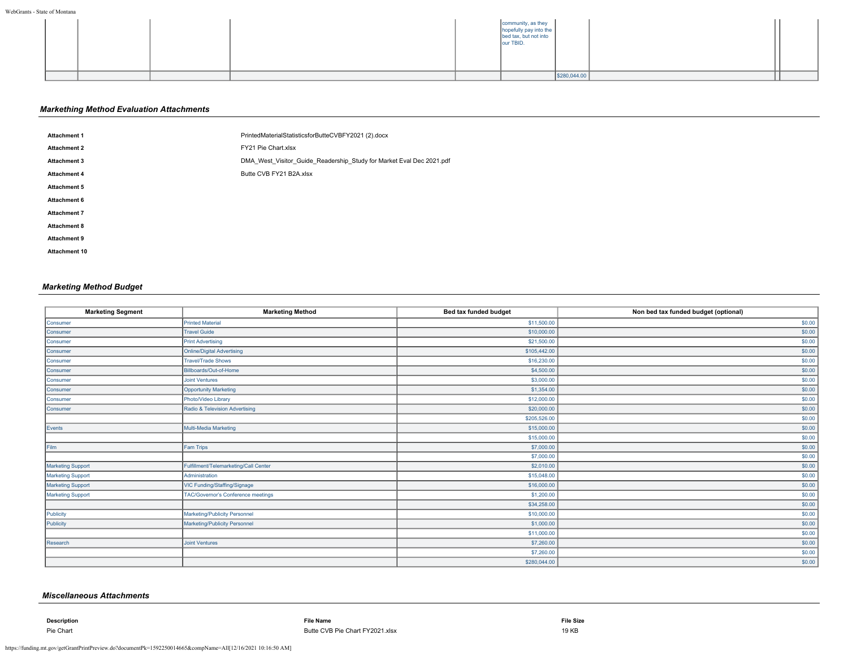|  |  |  | community, as they<br>hopefully pay into the<br>bed tax, but not into<br>our TBID. |              |  |  |
|--|--|--|------------------------------------------------------------------------------------|--------------|--|--|
|  |  |  |                                                                                    | \$280,044.00 |  |  |

# *Markething Method Evaluation Attachments*

| <b>Attachment 1</b>  | PrintedMaterialStatisticsforButteCVBFY2021 (2).docx                  |
|----------------------|----------------------------------------------------------------------|
| <b>Attachment 2</b>  | FY21 Pie Chart.xlsx                                                  |
| <b>Attachment 3</b>  | DMA West Visitor Guide Readership Study for Market Eval Dec 2021.pdf |
| <b>Attachment 4</b>  | Butte CVB FY21 B2A.xlsx                                              |
| <b>Attachment 5</b>  |                                                                      |
| <b>Attachment 6</b>  |                                                                      |
| <b>Attachment 7</b>  |                                                                      |
| <b>Attachment 8</b>  |                                                                      |
| <b>Attachment 9</b>  |                                                                      |
| <b>Attachment 10</b> |                                                                      |

# *Marketing Method Budget*

| <b>Marketing Segment</b> | <b>Marketing Method</b>                   | Bed tax funded budget | Non bed tax funded budget (optional) |
|--------------------------|-------------------------------------------|-----------------------|--------------------------------------|
| Consumer                 | <b>Printed Material</b>                   | \$11,500.00           | \$0.00                               |
| Consumer                 | <b>Travel Guide</b>                       | \$10,000.00           | \$0.00                               |
| Consumer                 | <b>Print Advertising</b>                  | \$21,500.00           | \$0.00                               |
| Consumer                 | Online/Digital Advertising                | \$105,442.00          | \$0.00                               |
| Consumer                 | <b>Travel/Trade Shows</b>                 | \$16,230.00           | \$0.00                               |
| Consumer                 | Billboards/Out-of-Home                    | \$4,500.00            | \$0.00                               |
| Consumer                 | <b>Joint Ventures</b>                     | \$3,000.00            | \$0.00                               |
| Consumer                 | <b>Opportunity Marketing</b>              | \$1,354.00            | \$0.00                               |
| Consumer                 | Photo/Video Library                       | \$12,000.00           | \$0.00                               |
| Consumer                 | Radio & Television Advertising            | \$20,000.00           | \$0.00                               |
|                          |                                           | \$205,526.00          | \$0.00                               |
| Events                   | Multi-Media Marketing                     | \$15,000.00           | \$0.00                               |
|                          |                                           | \$15,000.00           | \$0.00                               |
| Film                     | Fam Trips                                 | \$7,000.00            | \$0.00                               |
|                          |                                           | \$7,000.00            | \$0.00                               |
| Marketing Support        | Fulfillment/Telemarketing/Call Center     | \$2,010.00            | \$0.00                               |
| Marketing Support        | Administration                            | \$15,048.00           | \$0.00                               |
| <b>Marketing Support</b> | VIC Funding/Staffing/Signage              | \$16,000.00           | \$0.00                               |
| Marketing Support        | <b>TAC/Governor's Conference meetings</b> | \$1,200.00            | \$0.00                               |
|                          |                                           | \$34,258.00           | \$0.00                               |
| Publicity                | Marketing/Publicity Personnel             | \$10,000.00           | \$0.00                               |
| Publicity                | Marketing/Publicity Personnel             | \$1,000.00            | \$0.00                               |
|                          |                                           | \$11,000.00           | \$0.00                               |
| Research                 | <b>Joint Ventures</b>                     | \$7,260.00            | \$0.00                               |
|                          |                                           | \$7,260.00            | \$0.00                               |
|                          |                                           | \$280,044.00          | \$0.00                               |

# *Miscellaneous Attachments*